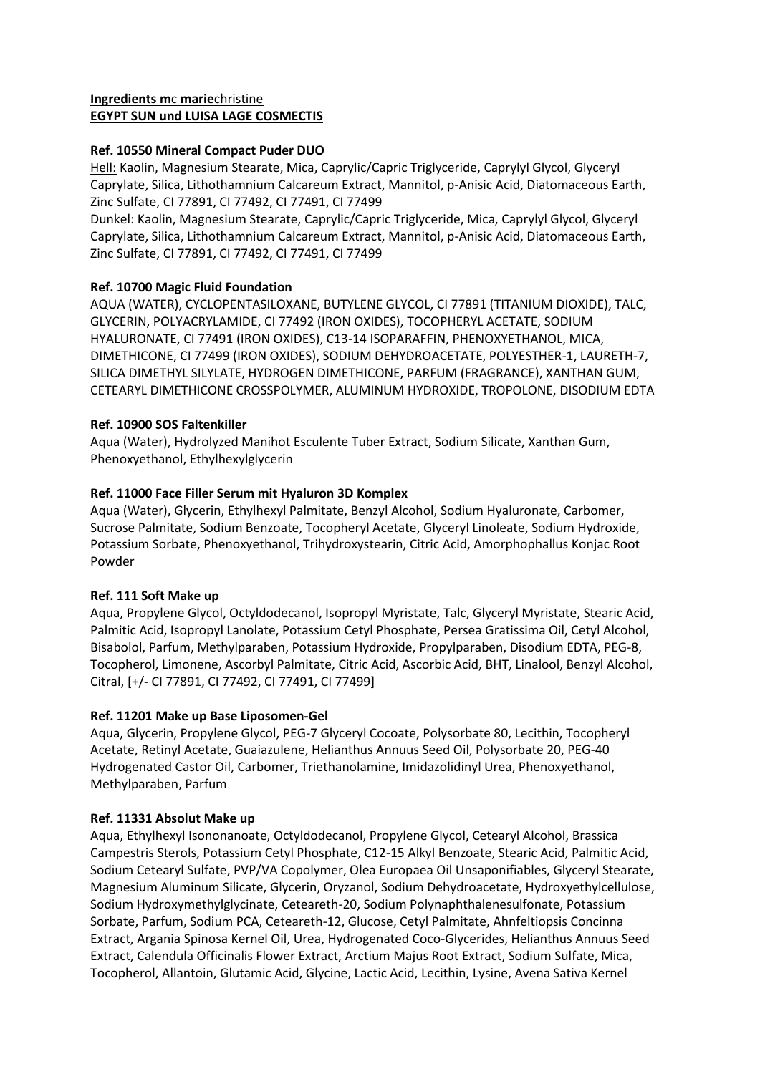# **Ingredients m**c **marie**christine **EGYPT SUN und LUISA LAGE COSMECTIS**

# **Ref. 10550 Mineral Compact Puder DUO**

Hell: Kaolin, Magnesium Stearate, Mica, Caprylic/Capric Triglyceride, Caprylyl Glycol, Glyceryl Caprylate, Silica, Lithothamnium Calcareum Extract, Mannitol, p-Anisic Acid, Diatomaceous Earth, Zinc Sulfate, CI 77891, CI 77492, CI 77491, CI 77499

Dunkel: Kaolin, Magnesium Stearate, Caprylic/Capric Triglyceride, Mica, Caprylyl Glycol, Glyceryl Caprylate, Silica, Lithothamnium Calcareum Extract, Mannitol, p-Anisic Acid, Diatomaceous Earth, Zinc Sulfate, CI 77891, CI 77492, CI 77491, CI 77499

# **Ref. 10700 Magic Fluid Foundation**

AQUA (WATER), CYCLOPENTASILOXANE, BUTYLENE GLYCOL, CI 77891 (TITANIUM DIOXIDE), TALC, GLYCERIN, POLYACRYLAMIDE, CI 77492 (IRON OXIDES), TOCOPHERYL ACETATE, SODIUM HYALURONATE, CI 77491 (IRON OXIDES), C13-14 ISOPARAFFIN, PHENOXYETHANOL, MICA, DIMETHICONE, CI 77499 (IRON OXIDES), SODIUM DEHYDROACETATE, POLYESTHER-1, LAURETH-7, SILICA DIMETHYL SILYLATE, HYDROGEN DIMETHICONE, PARFUM (FRAGRANCE), XANTHAN GUM, CETEARYL DIMETHICONE CROSSPOLYMER, ALUMINUM HYDROXIDE, TROPOLONE, DISODIUM EDTA

# **Ref. 10900 SOS Faltenkiller**

Aqua (Water), Hydrolyzed Manihot Esculente Tuber Extract, Sodium Silicate, Xanthan Gum, Phenoxyethanol, Ethylhexylglycerin

# **Ref. 11000 Face Filler Serum mit Hyaluron 3D Komplex**

Aqua (Water), Glycerin, Ethylhexyl Palmitate, Benzyl Alcohol, Sodium Hyaluronate, Carbomer, Sucrose Palmitate, Sodium Benzoate, Tocopheryl Acetate, Glyceryl Linoleate, Sodium Hydroxide, Potassium Sorbate, Phenoxyethanol, Trihydroxystearin, Citric Acid, Amorphophallus Konjac Root Powder

#### **Ref. 111 Soft Make up**

Aqua, Propylene Glycol, Octyldodecanol, Isopropyl Myristate, Talc, Glyceryl Myristate, Stearic Acid, Palmitic Acid, Isopropyl Lanolate, Potassium Cetyl Phosphate, Persea Gratissima Oil, Cetyl Alcohol, Bisabolol, Parfum, Methylparaben, Potassium Hydroxide, Propylparaben, Disodium EDTA, PEG-8, Tocopherol, Limonene, Ascorbyl Palmitate, Citric Acid, Ascorbic Acid, BHT, Linalool, Benzyl Alcohol, Citral, [+/- CI 77891, CI 77492, CI 77491, CI 77499]

#### **Ref. 11201 Make up Base Liposomen-Gel**

Aqua, Glycerin, Propylene Glycol, PEG-7 Glyceryl Cocoate, Polysorbate 80, Lecithin, Tocopheryl Acetate, Retinyl Acetate, Guaiazulene, Helianthus Annuus Seed Oil, Polysorbate 20, PEG-40 Hydrogenated Castor Oil, Carbomer, Triethanolamine, Imidazolidinyl Urea, Phenoxyethanol, Methylparaben, Parfum

#### **Ref. 11331 Absolut Make up**

Aqua, Ethylhexyl Isononanoate, Octyldodecanol, Propylene Glycol, Cetearyl Alcohol, Brassica Campestris Sterols, Potassium Cetyl Phosphate, C12-15 Alkyl Benzoate, Stearic Acid, Palmitic Acid, Sodium Cetearyl Sulfate, PVP/VA Copolymer, Olea Europaea Oil Unsaponifiables, Glyceryl Stearate, Magnesium Aluminum Silicate, Glycerin, Oryzanol, Sodium Dehydroacetate, Hydroxyethylcellulose, Sodium Hydroxymethylglycinate, Ceteareth-20, Sodium Polynaphthalenesulfonate, Potassium Sorbate, Parfum, Sodium PCA, Ceteareth-12, Glucose, Cetyl Palmitate, Ahnfeltiopsis Concinna Extract, Argania Spinosa Kernel Oil, Urea, Hydrogenated Coco-Glycerides, Helianthus Annuus Seed Extract, Calendula Officinalis Flower Extract, Arctium Majus Root Extract, Sodium Sulfate, Mica, Tocopherol, Allantoin, Glutamic Acid, Glycine, Lactic Acid, Lecithin, Lysine, Avena Sativa Kernel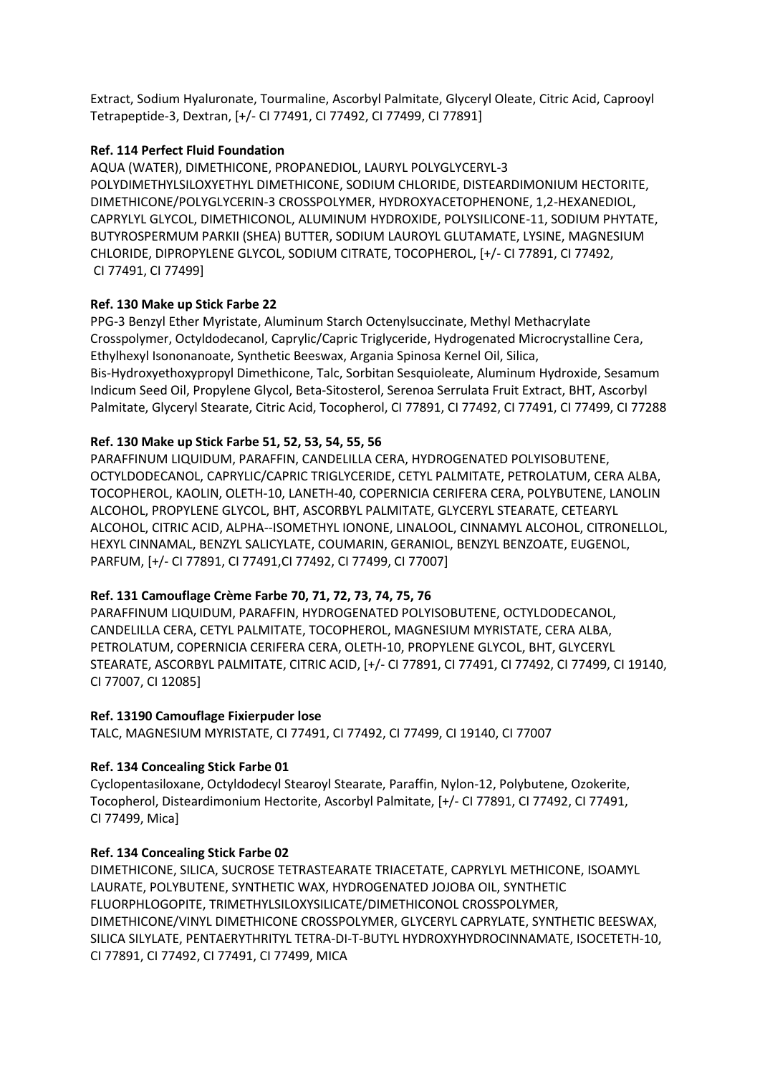Extract, Sodium Hyaluronate, Tourmaline, Ascorbyl Palmitate, Glyceryl Oleate, Citric Acid, Caprooyl Tetrapeptide-3, Dextran, [+/- CI 77491, CI 77492, CI 77499, CI 77891]

# **Ref. 114 Perfect Fluid Foundation**

AQUA (WATER), DIMETHICONE, PROPANEDIOL, LAURYL POLYGLYCERYL-3 POLYDIMETHYLSILOXYETHYL DIMETHICONE, SODIUM CHLORIDE, DISTEARDIMONIUM HECTORITE, DIMETHICONE/POLYGLYCERIN-3 CROSSPOLYMER, HYDROXYACETOPHENONE, 1,2-HEXANEDIOL, CAPRYLYL GLYCOL, DIMETHICONOL, ALUMINUM HYDROXIDE, POLYSILICONE-11, SODIUM PHYTATE, BUTYROSPERMUM PARKII (SHEA) BUTTER, SODIUM LAUROYL GLUTAMATE, LYSINE, MAGNESIUM CHLORIDE, DIPROPYLENE GLYCOL, SODIUM CITRATE, TOCOPHEROL, [+/- CI 77891, CI 77492, CI 77491, CI 77499]

# **Ref. 130 Make up Stick Farbe 22**

PPG-3 Benzyl Ether Myristate, Aluminum Starch Octenylsuccinate, Methyl Methacrylate Crosspolymer, Octyldodecanol, Caprylic/Capric Triglyceride, Hydrogenated Microcrystalline Cera, Ethylhexyl Isononanoate, Synthetic Beeswax, Argania Spinosa Kernel Oil, Silica, Bis-Hydroxyethoxypropyl Dimethicone, Talc, Sorbitan Sesquioleate, Aluminum Hydroxide, Sesamum Indicum Seed Oil, Propylene Glycol, Beta-Sitosterol, Serenoa Serrulata Fruit Extract, BHT, Ascorbyl Palmitate, Glyceryl Stearate, Citric Acid, Tocopherol, CI 77891, CI 77492, CI 77491, CI 77499, CI 77288

# **Ref. 130 Make up Stick Farbe 51, 52, 53, 54, 55, 56**

PARAFFINUM LIQUIDUM, PARAFFIN, CANDELILLA CERA, HYDROGENATED POLYISOBUTENE, OCTYLDODECANOL, CAPRYLIC/CAPRIC TRIGLYCERIDE, CETYL PALMITATE, PETROLATUM, CERA ALBA, TOCOPHEROL, KAOLIN, OLETH-10, LANETH-40, COPERNICIA CERIFERA CERA, POLYBUTENE, LANOLIN ALCOHOL, PROPYLENE GLYCOL, BHT, ASCORBYL PALMITATE, GLYCERYL STEARATE, CETEARYL ALCOHOL, CITRIC ACID, ALPHA--ISOMETHYL IONONE, LINALOOL, CINNAMYL ALCOHOL, CITRONELLOL, HEXYL CINNAMAL, BENZYL SALICYLATE, COUMARIN, GERANIOL, BENZYL BENZOATE, EUGENOL, PARFUM, [+/- CI 77891, CI 77491,CI 77492, CI 77499, CI 77007]

# **Ref. 131 Camouflage Crème Farbe 70, 71, 72, 73, 74, 75, 76**

PARAFFINUM LIQUIDUM, PARAFFIN, HYDROGENATED POLYISOBUTENE, OCTYLDODECANOL, CANDELILLA CERA, CETYL PALMITATE, TOCOPHEROL, MAGNESIUM MYRISTATE, CERA ALBA, PETROLATUM, COPERNICIA CERIFERA CERA, OLETH-10, PROPYLENE GLYCOL, BHT, GLYCERYL STEARATE, ASCORBYL PALMITATE, CITRIC ACID, [+/- CI 77891, CI 77491, CI 77492, CI 77499, CI 19140, CI 77007, CI 12085]

#### **Ref. 13190 Camouflage Fixierpuder lose**

TALC, MAGNESIUM MYRISTATE, CI 77491, CI 77492, CI 77499, CI 19140, CI 77007

# **Ref. 134 Concealing Stick Farbe 01**

Cyclopentasiloxane, Octyldodecyl Stearoyl Stearate, Paraffin, Nylon-12, Polybutene, Ozokerite, Tocopherol, Disteardimonium Hectorite, Ascorbyl Palmitate, [+/- CI 77891, CI 77492, CI 77491, CI 77499, Mica]

#### **Ref. 134 Concealing Stick Farbe 02**

DIMETHICONE, SILICA, SUCROSE TETRASTEARATE TRIACETATE, CAPRYLYL METHICONE, ISOAMYL LAURATE, POLYBUTENE, SYNTHETIC WAX, HYDROGENATED JOJOBA OIL, SYNTHETIC FLUORPHLOGOPITE, TRIMETHYLSILOXYSILICATE/DIMETHICONOL CROSSPOLYMER, DIMETHICONE/VINYL DIMETHICONE CROSSPOLYMER, GLYCERYL CAPRYLATE, SYNTHETIC BEESWAX, SILICA SILYLATE, PENTAERYTHRITYL TETRA-DI-T-BUTYL HYDROXYHYDROCINNAMATE, ISOCETETH-10, CI 77891, CI 77492, CI 77491, CI 77499, MICA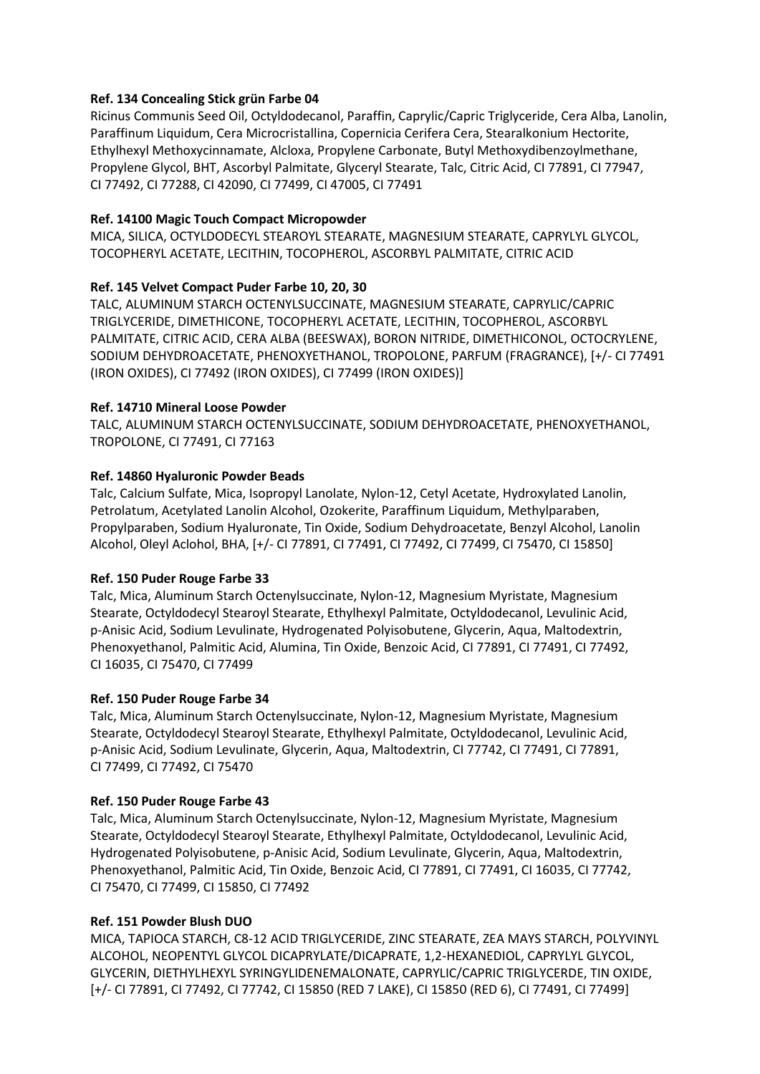# **Ref. 134 Concealing Stick grün Farbe 04**

Ricinus Communis Seed Oil, Octyldodecanol, Paraffin, Caprylic/Capric Triglyceride, Cera Alba, Lanolin, Paraffinum Liquidum, Cera Microcristallina, Copernicia Cerifera Cera, Stearalkonium Hectorite, Ethylhexyl Methoxycinnamate, Alcloxa, Propylene Carbonate, Butyl Methoxydibenzoylmethane, Propylene Glycol, BHT, Ascorbyl Palmitate, Glyceryl Stearate, Talc, Citric Acid, CI 77891, CI 77947, CI 77492, CI 77288, CI 42090, CI 77499, CI 47005, CI 77491

# **Ref. 14100 Magic Touch Compact Micropowder**

MICA, SILICA, OCTYLDODECYL STEAROYL STEARATE, MAGNESIUM STEARATE, CAPRYLYL GLYCOL, TOCOPHERYL ACETATE, LECITHIN, TOCOPHEROL, ASCORBYL PALMITATE, CITRIC ACID

# **Ref. 145 Velvet Compact Puder Farbe 10, 20, 30**

TALC, ALUMINUM STARCH OCTENYLSUCCINATE, MAGNESIUM STEARATE, CAPRYLIC/CAPRIC TRIGLYCERIDE, DIMETHICONE, TOCOPHERYL ACETATE, LECITHIN, TOCOPHEROL, ASCORBYL PALMITATE, CITRIC ACID, CERA ALBA (BEESWAX), BORON NITRIDE, DIMETHICONOL, OCTOCRYLENE, SODIUM DEHYDROACETATE, PHENOXYETHANOL, TROPOLONE, PARFUM (FRAGRANCE), [+/- CI 77491 (IRON OXIDES), CI 77492 (IRON OXIDES), CI 77499 (IRON OXIDES)]

# **Ref. 14710 Mineral Loose Powder**

TALC, ALUMINUM STARCH OCTENYLSUCCINATE, SODIUM DEHYDROACETATE, PHENOXYETHANOL, TROPOLONE, CI 77491, CI 77163

# **Ref. 14860 Hyaluronic Powder Beads**

Talc, Calcium Sulfate, Mica, Isopropyl Lanolate, Nylon-12, Cetyl Acetate, Hydroxylated Lanolin, Petrolatum, Acetylated Lanolin Alcohol, Ozokerite, Paraffinum Liquidum, Methylparaben, Propylparaben, Sodium Hyaluronate, Tin Oxide, Sodium Dehydroacetate, Benzyl Alcohol, Lanolin Alcohol, Oleyl Aclohol, BHA, [+/- CI 77891, CI 77491, CI 77492, CI 77499, CI 75470, CI 15850]

#### **Ref. 150 Puder Rouge Farbe 33**

Talc, Mica, Aluminum Starch Octenylsuccinate, Nylon-12, Magnesium Myristate, Magnesium Stearate, Octyldodecyl Stearoyl Stearate, Ethylhexyl Palmitate, Octyldodecanol, Levulinic Acid, p-Anisic Acid, Sodium Levulinate, Hydrogenated Polyisobutene, Glycerin, Aqua, Maltodextrin, Phenoxyethanol, Palmitic Acid, Alumina, Tin Oxide, Benzoic Acid, CI 77891, CI 77491, CI 77492, CI 16035, CI 75470, CI 77499

#### **Ref. 150 Puder Rouge Farbe 34**

Talc, Mica, Aluminum Starch Octenylsuccinate, Nylon-12, Magnesium Myristate, Magnesium Stearate, Octyldodecyl Stearoyl Stearate, Ethylhexyl Palmitate, Octyldodecanol, Levulinic Acid, p-Anisic Acid, Sodium Levulinate, Glycerin, Aqua, Maltodextrin, CI 77742, CI 77491, CI 77891, CI 77499, CI 77492, CI 75470

#### **Ref. 150 Puder Rouge Farbe 43**

Talc, Mica, Aluminum Starch Octenylsuccinate, Nylon-12, Magnesium Myristate, Magnesium Stearate, Octyldodecyl Stearoyl Stearate, Ethylhexyl Palmitate, Octyldodecanol, Levulinic Acid, Hydrogenated Polyisobutene, p-Anisic Acid, Sodium Levulinate, Glycerin, Aqua, Maltodextrin, Phenoxyethanol, Palmitic Acid, Tin Oxide, Benzoic Acid, CI 77891, CI 77491, CI 16035, CI 77742, CI 75470, CI 77499, CI 15850, CI 77492

# **Ref. 151 Powder Blush DUO**

MICA, TAPIOCA STARCH, C8-12 ACID TRIGLYCERIDE, ZINC STEARATE, ZEA MAYS STARCH, POLYVINYL ALCOHOL, NEOPENTYL GLYCOL DICAPRYLATE/DICAPRATE, 1,2-HEXANEDIOL, CAPRYLYL GLYCOL, GLYCERIN, DIETHYLHEXYL SYRINGYLIDENEMALONATE, CAPRYLIC/CAPRIC TRIGLYCERDE, TIN OXIDE, [+/- CI 77891, CI 77492, CI 77742, CI 15850 (RED 7 LAKE), CI 15850 (RED 6), CI 77491, CI 77499]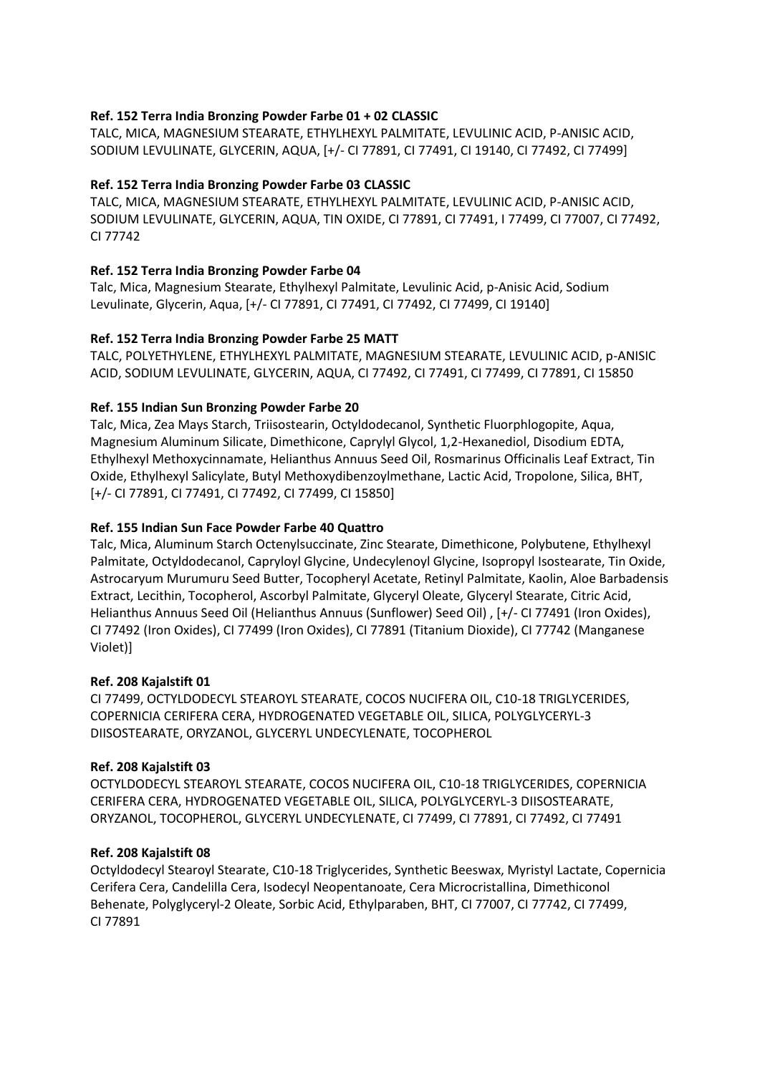# **Ref. 152 Terra India Bronzing Powder Farbe 01 + 02 CLASSIC**

TALC, MICA, MAGNESIUM STEARATE, ETHYLHEXYL PALMITATE, LEVULINIC ACID, P-ANISIC ACID, SODIUM LEVULINATE, GLYCERIN, AQUA, [+/- CI 77891, CI 77491, CI 19140, CI 77492, CI 77499]

# **Ref. 152 Terra India Bronzing Powder Farbe 03 CLASSIC**

TALC, MICA, MAGNESIUM STEARATE, ETHYLHEXYL PALMITATE, LEVULINIC ACID, P-ANISIC ACID, SODIUM LEVULINATE, GLYCERIN, AQUA, TIN OXIDE, CI 77891, CI 77491, I 77499, CI 77007, CI 77492, CI 77742

# **Ref. 152 Terra India Bronzing Powder Farbe 04**

Talc, Mica, Magnesium Stearate, Ethylhexyl Palmitate, Levulinic Acid, p-Anisic Acid, Sodium Levulinate, Glycerin, Aqua, [+/- CI 77891, CI 77491, CI 77492, CI 77499, CI 19140]

# **Ref. 152 Terra India Bronzing Powder Farbe 25 MATT**

TALC, POLYETHYLENE, ETHYLHEXYL PALMITATE, MAGNESIUM STEARATE, LEVULINIC ACID, p-ANISIC ACID, SODIUM LEVULINATE, GLYCERIN, AQUA, CI 77492, CI 77491, CI 77499, CI 77891, CI 15850

# **Ref. 155 Indian Sun Bronzing Powder Farbe 20**

Talc, Mica, Zea Mays Starch, Triisostearin, Octyldodecanol, Synthetic Fluorphlogopite, Aqua, Magnesium Aluminum Silicate, Dimethicone, Caprylyl Glycol, 1,2-Hexanediol, Disodium EDTA, Ethylhexyl Methoxycinnamate, Helianthus Annuus Seed Oil, Rosmarinus Officinalis Leaf Extract, Tin Oxide, Ethylhexyl Salicylate, Butyl Methoxydibenzoylmethane, Lactic Acid, Tropolone, Silica, BHT, [+/- CI 77891, CI 77491, CI 77492, CI 77499, CI 15850]

#### **Ref. 155 Indian Sun Face Powder Farbe 40 Quattro**

Talc, Mica, Aluminum Starch Octenylsuccinate, Zinc Stearate, Dimethicone, Polybutene, Ethylhexyl Palmitate, Octyldodecanol, Capryloyl Glycine, Undecylenoyl Glycine, Isopropyl Isostearate, Tin Oxide, Astrocaryum Murumuru Seed Butter, Tocopheryl Acetate, Retinyl Palmitate, Kaolin, Aloe Barbadensis Extract, Lecithin, Tocopherol, Ascorbyl Palmitate, Glyceryl Oleate, Glyceryl Stearate, Citric Acid, Helianthus Annuus Seed Oil (Helianthus Annuus (Sunflower) Seed Oil) , [+/- CI 77491 (Iron Oxides), CI 77492 (Iron Oxides), CI 77499 (Iron Oxides), CI 77891 (Titanium Dioxide), CI 77742 (Manganese Violet)]

#### **Ref. 208 Kajalstift 01**

CI 77499, OCTYLDODECYL STEAROYL STEARATE, COCOS NUCIFERA OIL, C10-18 TRIGLYCERIDES, COPERNICIA CERIFERA CERA, HYDROGENATED VEGETABLE OIL, SILICA, POLYGLYCERYL-3 DIISOSTEARATE, ORYZANOL, GLYCERYL UNDECYLENATE, TOCOPHEROL

#### **Ref. 208 Kajalstift 03**

OCTYLDODECYL STEAROYL STEARATE, COCOS NUCIFERA OIL, C10-18 TRIGLYCERIDES, COPERNICIA CERIFERA CERA, HYDROGENATED VEGETABLE OIL, SILICA, POLYGLYCERYL-3 DIISOSTEARATE, ORYZANOL, TOCOPHEROL, GLYCERYL UNDECYLENATE, CI 77499, CI 77891, CI 77492, CI 77491

#### **Ref. 208 Kajalstift 08**

Octyldodecyl Stearoyl Stearate, C10-18 Triglycerides, Synthetic Beeswax, Myristyl Lactate, Copernicia Cerifera Cera, Candelilla Cera, Isodecyl Neopentanoate, Cera Microcristallina, Dimethiconol Behenate, Polyglyceryl-2 Oleate, Sorbic Acid, Ethylparaben, BHT, CI 77007, CI 77742, CI 77499, CI 77891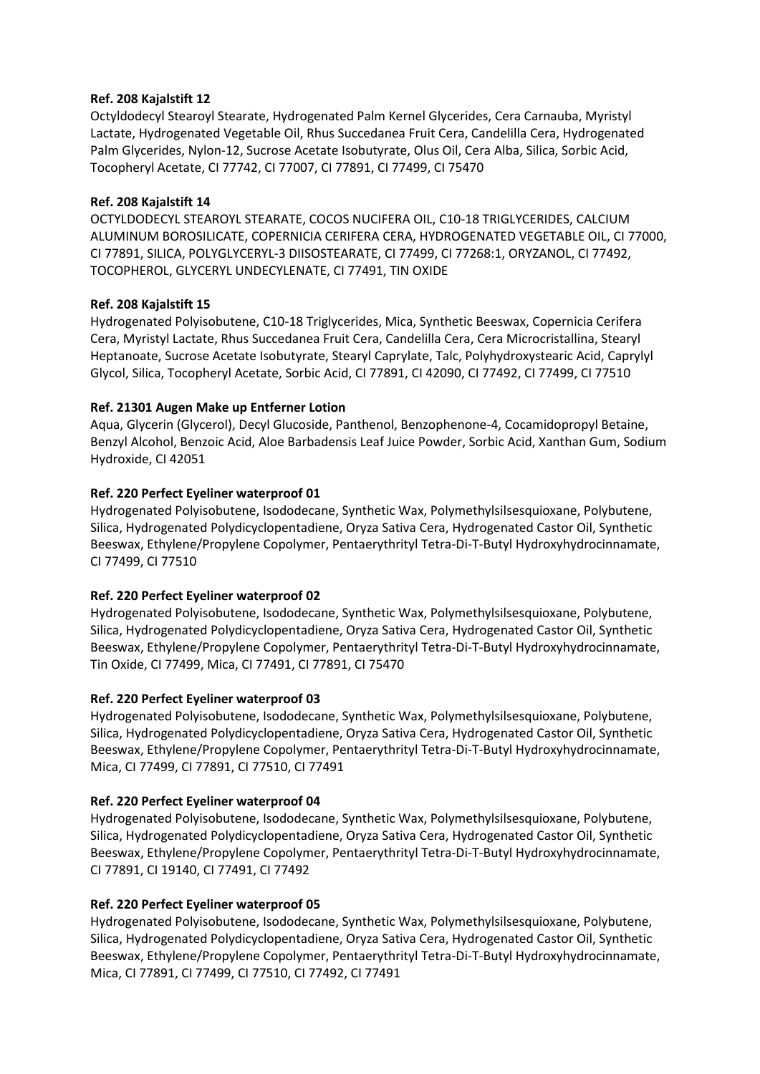# **Ref. 208 Kajalstift 12**

Octyldodecyl Stearoyl Stearate, Hydrogenated Palm Kernel Glycerides, Cera Carnauba, Myristyl Lactate, Hydrogenated Vegetable Oil, Rhus Succedanea Fruit Cera, Candelilla Cera, Hydrogenated Palm Glycerides, Nylon-12, Sucrose Acetate Isobutyrate, Olus Oil, Cera Alba, Silica, Sorbic Acid, Tocopheryl Acetate, CI 77742, CI 77007, CI 77891, CI 77499, CI 75470

# **Ref. 208 Kajalstift 14**

OCTYLDODECYL STEAROYL STEARATE, COCOS NUCIFERA OIL, C10-18 TRIGLYCERIDES, CALCIUM ALUMINUM BOROSILICATE, COPERNICIA CERIFERA CERA, HYDROGENATED VEGETABLE OIL, CI 77000, CI 77891, SILICA, POLYGLYCERYL-3 DIISOSTEARATE, CI 77499, CI 77268:1, ORYZANOL, CI 77492, TOCOPHEROL, GLYCERYL UNDECYLENATE, CI 77491, TIN OXIDE

# **Ref. 208 Kajalstift 15**

Hydrogenated Polyisobutene, C10-18 Triglycerides, Mica, Synthetic Beeswax, Copernicia Cerifera Cera, Myristyl Lactate, Rhus Succedanea Fruit Cera, Candelilla Cera, Cera Microcristallina, Stearyl Heptanoate, Sucrose Acetate Isobutyrate, Stearyl Caprylate, Talc, Polyhydroxystearic Acid, Caprylyl Glycol, Silica, Tocopheryl Acetate, Sorbic Acid, CI 77891, CI 42090, CI 77492, CI 77499, CI 77510

# **Ref. 21301 Augen Make up Entferner Lotion**

Aqua, Glycerin (Glycerol), Decyl Glucoside, Panthenol, Benzophenone-4, Cocamidopropyl Betaine, Benzyl Alcohol, Benzoic Acid, Aloe Barbadensis Leaf Juice Powder, Sorbic Acid, Xanthan Gum, Sodium Hydroxide, CI 42051

# **Ref. 220 Perfect Eyeliner waterproof 01**

Hydrogenated Polyisobutene, Isododecane, Synthetic Wax, Polymethylsilsesquioxane, Polybutene, Silica, Hydrogenated Polydicyclopentadiene, Oryza Sativa Cera, Hydrogenated Castor Oil, Synthetic Beeswax, Ethylene/Propylene Copolymer, Pentaerythrityl Tetra-Di-T-Butyl Hydroxyhydrocinnamate, CI 77499, CI 77510

# **Ref. 220 Perfect Eyeliner waterproof 02**

Hydrogenated Polyisobutene, Isododecane, Synthetic Wax, Polymethylsilsesquioxane, Polybutene, Silica, Hydrogenated Polydicyclopentadiene, Oryza Sativa Cera, Hydrogenated Castor Oil, Synthetic Beeswax, Ethylene/Propylene Copolymer, Pentaerythrityl Tetra-Di-T-Butyl Hydroxyhydrocinnamate, Tin Oxide, CI 77499, Mica, CI 77491, CI 77891, CI 75470

#### **Ref. 220 Perfect Eyeliner waterproof 03**

Hydrogenated Polyisobutene, Isododecane, Synthetic Wax, Polymethylsilsesquioxane, Polybutene, Silica, Hydrogenated Polydicyclopentadiene, Oryza Sativa Cera, Hydrogenated Castor Oil, Synthetic Beeswax, Ethylene/Propylene Copolymer, Pentaerythrityl Tetra-Di-T-Butyl Hydroxyhydrocinnamate, Mica, CI 77499, CI 77891, CI 77510, CI 77491

#### **Ref. 220 Perfect Eyeliner waterproof 04**

Hydrogenated Polyisobutene, Isododecane, Synthetic Wax, Polymethylsilsesquioxane, Polybutene, Silica, Hydrogenated Polydicyclopentadiene, Oryza Sativa Cera, Hydrogenated Castor Oil, Synthetic Beeswax, Ethylene/Propylene Copolymer, Pentaerythrityl Tetra-Di-T-Butyl Hydroxyhydrocinnamate, CI 77891, CI 19140, CI 77491, CI 77492

#### **Ref. 220 Perfect Eyeliner waterproof 05**

Hydrogenated Polyisobutene, Isododecane, Synthetic Wax, Polymethylsilsesquioxane, Polybutene, Silica, Hydrogenated Polydicyclopentadiene, Oryza Sativa Cera, Hydrogenated Castor Oil, Synthetic Beeswax, Ethylene/Propylene Copolymer, Pentaerythrityl Tetra-Di-T-Butyl Hydroxyhydrocinnamate, Mica, CI 77891, CI 77499, CI 77510, CI 77492, CI 77491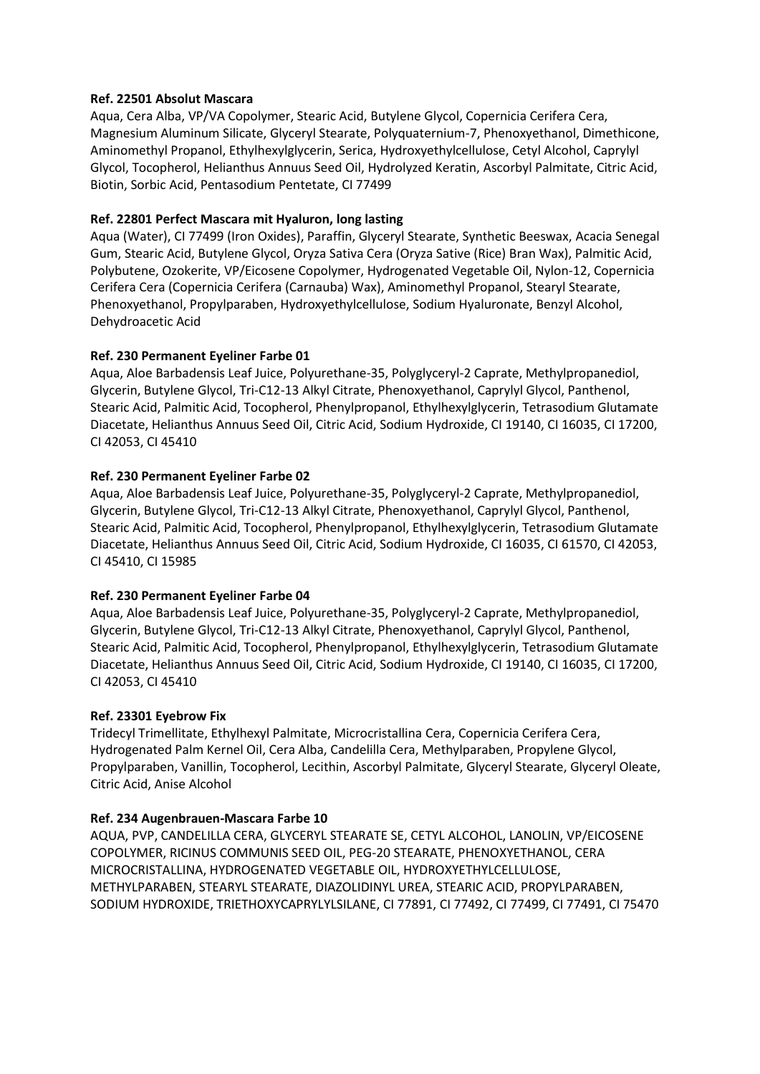#### **Ref. 22501 Absolut Mascara**

Aqua, Cera Alba, VP/VA Copolymer, Stearic Acid, Butylene Glycol, Copernicia Cerifera Cera, Magnesium Aluminum Silicate, Glyceryl Stearate, Polyquaternium-7, Phenoxyethanol, Dimethicone, Aminomethyl Propanol, Ethylhexylglycerin, Serica, Hydroxyethylcellulose, Cetyl Alcohol, Caprylyl Glycol, Tocopherol, Helianthus Annuus Seed Oil, Hydrolyzed Keratin, Ascorbyl Palmitate, Citric Acid, Biotin, Sorbic Acid, Pentasodium Pentetate, CI 77499

# **Ref. 22801 Perfect Mascara mit Hyaluron, long lasting**

Aqua (Water), CI 77499 (Iron Oxides), Paraffin, Glyceryl Stearate, Synthetic Beeswax, Acacia Senegal Gum, Stearic Acid, Butylene Glycol, Oryza Sativa Cera (Oryza Sative (Rice) Bran Wax), Palmitic Acid, Polybutene, Ozokerite, VP/Eicosene Copolymer, Hydrogenated Vegetable Oil, Nylon-12, Copernicia Cerifera Cera (Copernicia Cerifera (Carnauba) Wax), Aminomethyl Propanol, Stearyl Stearate, Phenoxyethanol, Propylparaben, Hydroxyethylcellulose, Sodium Hyaluronate, Benzyl Alcohol, Dehydroacetic Acid

# **Ref. 230 Permanent Eyeliner Farbe 01**

Aqua, Aloe Barbadensis Leaf Juice, Polyurethane-35, Polyglyceryl-2 Caprate, Methylpropanediol, Glycerin, Butylene Glycol, Tri-C12-13 Alkyl Citrate, Phenoxyethanol, Caprylyl Glycol, Panthenol, Stearic Acid, Palmitic Acid, Tocopherol, Phenylpropanol, Ethylhexylglycerin, Tetrasodium Glutamate Diacetate, Helianthus Annuus Seed Oil, Citric Acid, Sodium Hydroxide, CI 19140, CI 16035, CI 17200, CI 42053, CI 45410

# **Ref. 230 Permanent Eyeliner Farbe 02**

Aqua, Aloe Barbadensis Leaf Juice, Polyurethane-35, Polyglyceryl-2 Caprate, Methylpropanediol, Glycerin, Butylene Glycol, Tri-C12-13 Alkyl Citrate, Phenoxyethanol, Caprylyl Glycol, Panthenol, Stearic Acid, Palmitic Acid, Tocopherol, Phenylpropanol, Ethylhexylglycerin, Tetrasodium Glutamate Diacetate, Helianthus Annuus Seed Oil, Citric Acid, Sodium Hydroxide, CI 16035, CI 61570, CI 42053, CI 45410, CI 15985

#### **Ref. 230 Permanent Eyeliner Farbe 04**

Aqua, Aloe Barbadensis Leaf Juice, Polyurethane-35, Polyglyceryl-2 Caprate, Methylpropanediol, Glycerin, Butylene Glycol, Tri-C12-13 Alkyl Citrate, Phenoxyethanol, Caprylyl Glycol, Panthenol, Stearic Acid, Palmitic Acid, Tocopherol, Phenylpropanol, Ethylhexylglycerin, Tetrasodium Glutamate Diacetate, Helianthus Annuus Seed Oil, Citric Acid, Sodium Hydroxide, CI 19140, CI 16035, CI 17200, CI 42053, CI 45410

#### **Ref. 23301 Eyebrow Fix**

Tridecyl Trimellitate, Ethylhexyl Palmitate, Microcristallina Cera, Copernicia Cerifera Cera, Hydrogenated Palm Kernel Oil, Cera Alba, Candelilla Cera, Methylparaben, Propylene Glycol, Propylparaben, Vanillin, Tocopherol, Lecithin, Ascorbyl Palmitate, Glyceryl Stearate, Glyceryl Oleate, Citric Acid, Anise Alcohol

# **Ref. 234 Augenbrauen-Mascara Farbe 10**

AQUA, PVP, CANDELILLA CERA, GLYCERYL STEARATE SE, CETYL ALCOHOL, LANOLIN, VP/EICOSENE COPOLYMER, RICINUS COMMUNIS SEED OIL, PEG-20 STEARATE, PHENOXYETHANOL, CERA MICROCRISTALLINA, HYDROGENATED VEGETABLE OIL, HYDROXYETHYLCELLULOSE, METHYLPARABEN, STEARYL STEARATE, DIAZOLIDINYL UREA, STEARIC ACID, PROPYLPARABEN, SODIUM HYDROXIDE, TRIETHOXYCAPRYLYLSILANE, CI 77891, CI 77492, CI 77499, CI 77491, CI 75470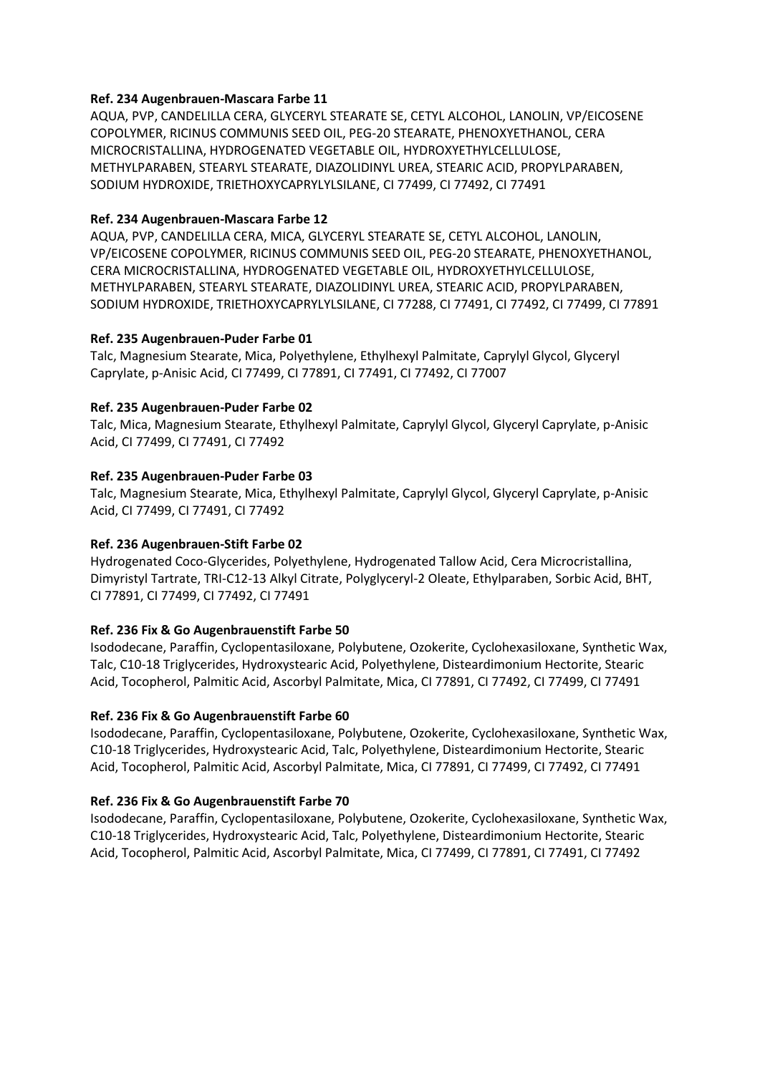# **Ref. 234 Augenbrauen-Mascara Farbe 11**

AQUA, PVP, CANDELILLA CERA, GLYCERYL STEARATE SE, CETYL ALCOHOL, LANOLIN, VP/EICOSENE COPOLYMER, RICINUS COMMUNIS SEED OIL, PEG-20 STEARATE, PHENOXYETHANOL, CERA MICROCRISTALLINA, HYDROGENATED VEGETABLE OIL, HYDROXYETHYLCELLULOSE, METHYLPARABEN, STEARYL STEARATE, DIAZOLIDINYL UREA, STEARIC ACID, PROPYLPARABEN, SODIUM HYDROXIDE, TRIETHOXYCAPRYLYLSILANE, CI 77499, CI 77492, CI 77491

# **Ref. 234 Augenbrauen-Mascara Farbe 12**

AQUA, PVP, CANDELILLA CERA, MICA, GLYCERYL STEARATE SE, CETYL ALCOHOL, LANOLIN, VP/EICOSENE COPOLYMER, RICINUS COMMUNIS SEED OIL, PEG-20 STEARATE, PHENOXYETHANOL, CERA MICROCRISTALLINA, HYDROGENATED VEGETABLE OIL, HYDROXYETHYLCELLULOSE, METHYLPARABEN, STEARYL STEARATE, DIAZOLIDINYL UREA, STEARIC ACID, PROPYLPARABEN, SODIUM HYDROXIDE, TRIETHOXYCAPRYLYLSILANE, CI 77288, CI 77491, CI 77492, CI 77499, CI 77891

# **Ref. 235 Augenbrauen-Puder Farbe 01**

Talc, Magnesium Stearate, Mica, Polyethylene, Ethylhexyl Palmitate, Caprylyl Glycol, Glyceryl Caprylate, p-Anisic Acid, CI 77499, CI 77891, CI 77491, CI 77492, CI 77007

# **Ref. 235 Augenbrauen-Puder Farbe 02**

Talc, Mica, Magnesium Stearate, Ethylhexyl Palmitate, Caprylyl Glycol, Glyceryl Caprylate, p-Anisic Acid, CI 77499, CI 77491, CI 77492

# **Ref. 235 Augenbrauen-Puder Farbe 03**

Talc, Magnesium Stearate, Mica, Ethylhexyl Palmitate, Caprylyl Glycol, Glyceryl Caprylate, p-Anisic Acid, CI 77499, CI 77491, CI 77492

# **Ref. 236 Augenbrauen-Stift Farbe 02**

Hydrogenated Coco-Glycerides, Polyethylene, Hydrogenated Tallow Acid, Cera Microcristallina, Dimyristyl Tartrate, TRI-C12-13 Alkyl Citrate, Polyglyceryl-2 Oleate, Ethylparaben, Sorbic Acid, BHT, CI 77891, CI 77499, CI 77492, CI 77491

#### **Ref. 236 Fix & Go Augenbrauenstift Farbe 50**

Isododecane, Paraffin, Cyclopentasiloxane, Polybutene, Ozokerite, Cyclohexasiloxane, Synthetic Wax, Talc, C10-18 Triglycerides, Hydroxystearic Acid, Polyethylene, Disteardimonium Hectorite, Stearic Acid, Tocopherol, Palmitic Acid, Ascorbyl Palmitate, Mica, CI 77891, CI 77492, CI 77499, CI 77491

# **Ref. 236 Fix & Go Augenbrauenstift Farbe 60**

Isododecane, Paraffin, Cyclopentasiloxane, Polybutene, Ozokerite, Cyclohexasiloxane, Synthetic Wax, C10-18 Triglycerides, Hydroxystearic Acid, Talc, Polyethylene, Disteardimonium Hectorite, Stearic Acid, Tocopherol, Palmitic Acid, Ascorbyl Palmitate, Mica, CI 77891, CI 77499, CI 77492, CI 77491

# **Ref. 236 Fix & Go Augenbrauenstift Farbe 70**

Isododecane, Paraffin, Cyclopentasiloxane, Polybutene, Ozokerite, Cyclohexasiloxane, Synthetic Wax, C10-18 Triglycerides, Hydroxystearic Acid, Talc, Polyethylene, Disteardimonium Hectorite, Stearic Acid, Tocopherol, Palmitic Acid, Ascorbyl Palmitate, Mica, CI 77499, CI 77891, CI 77491, CI 77492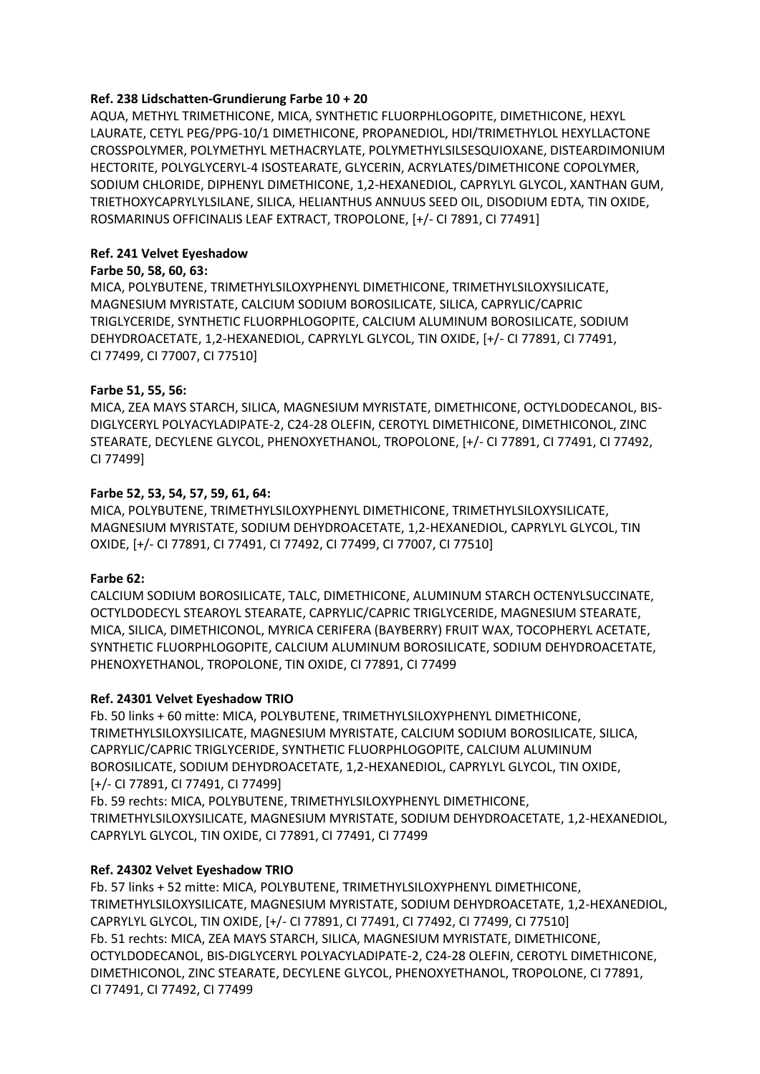# **Ref. 238 Lidschatten-Grundierung Farbe 10 + 20**

AQUA, METHYL TRIMETHICONE, MICA, SYNTHETIC FLUORPHLOGOPITE, DIMETHICONE, HEXYL LAURATE, CETYL PEG/PPG-10/1 DIMETHICONE, PROPANEDIOL, HDI/TRIMETHYLOL HEXYLLACTONE CROSSPOLYMER, POLYMETHYL METHACRYLATE, POLYMETHYLSILSESQUIOXANE, DISTEARDIMONIUM HECTORITE, POLYGLYCERYL-4 ISOSTEARATE, GLYCERIN, ACRYLATES/DIMETHICONE COPOLYMER, SODIUM CHLORIDE, DIPHENYL DIMETHICONE, 1,2-HEXANEDIOL, CAPRYLYL GLYCOL, XANTHAN GUM, TRIETHOXYCAPRYLYLSILANE, SILICA, HELIANTHUS ANNUUS SEED OIL, DISODIUM EDTA, TIN OXIDE, ROSMARINUS OFFICINALIS LEAF EXTRACT, TROPOLONE, [+/- CI 7891, CI 77491]

# **Ref. 241 Velvet Eyeshadow**

#### **Farbe 50, 58, 60, 63:**

MICA, POLYBUTENE, TRIMETHYLSILOXYPHENYL DIMETHICONE, TRIMETHYLSILOXYSILICATE, MAGNESIUM MYRISTATE, CALCIUM SODIUM BOROSILICATE, SILICA, CAPRYLIC/CAPRIC TRIGLYCERIDE, SYNTHETIC FLUORPHLOGOPITE, CALCIUM ALUMINUM BOROSILICATE, SODIUM DEHYDROACETATE, 1,2-HEXANEDIOL, CAPRYLYL GLYCOL, TIN OXIDE, [+/- CI 77891, CI 77491, CI 77499, CI 77007, CI 77510]

# **Farbe 51, 55, 56:**

MICA, ZEA MAYS STARCH, SILICA, MAGNESIUM MYRISTATE, DIMETHICONE, OCTYLDODECANOL, BIS-DIGLYCERYL POLYACYLADIPATE-2, C24-28 OLEFIN, CEROTYL DIMETHICONE, DIMETHICONOL, ZINC STEARATE, DECYLENE GLYCOL, PHENOXYETHANOL, TROPOLONE, [+/- CI 77891, CI 77491, CI 77492, CI 77499]

# **Farbe 52, 53, 54, 57, 59, 61, 64:**

MICA, POLYBUTENE, TRIMETHYLSILOXYPHENYL DIMETHICONE, TRIMETHYLSILOXYSILICATE, MAGNESIUM MYRISTATE, SODIUM DEHYDROACETATE, 1,2-HEXANEDIOL, CAPRYLYL GLYCOL, TIN OXIDE, [+/- CI 77891, CI 77491, CI 77492, CI 77499, CI 77007, CI 77510]

# **Farbe 62:**

CALCIUM SODIUM BOROSILICATE, TALC, DIMETHICONE, ALUMINUM STARCH OCTENYLSUCCINATE, OCTYLDODECYL STEAROYL STEARATE, CAPRYLIC/CAPRIC TRIGLYCERIDE, MAGNESIUM STEARATE, MICA, SILICA, DIMETHICONOL, MYRICA CERIFERA (BAYBERRY) FRUIT WAX, TOCOPHERYL ACETATE, SYNTHETIC FLUORPHLOGOPITE, CALCIUM ALUMINUM BOROSILICATE, SODIUM DEHYDROACETATE, PHENOXYETHANOL, TROPOLONE, TIN OXIDE, CI 77891, CI 77499

# **Ref. 24301 Velvet Eyeshadow TRIO**

Fb. 50 links + 60 mitte: MICA, POLYBUTENE, TRIMETHYLSILOXYPHENYL DIMETHICONE, TRIMETHYLSILOXYSILICATE, MAGNESIUM MYRISTATE, CALCIUM SODIUM BOROSILICATE, SILICA, CAPRYLIC/CAPRIC TRIGLYCERIDE, SYNTHETIC FLUORPHLOGOPITE, CALCIUM ALUMINUM BOROSILICATE, SODIUM DEHYDROACETATE, 1,2-HEXANEDIOL, CAPRYLYL GLYCOL, TIN OXIDE, [+/- CI 77891, CI 77491, CI 77499]

Fb. 59 rechts: MICA, POLYBUTENE, TRIMETHYLSILOXYPHENYL DIMETHICONE, TRIMETHYLSILOXYSILICATE, MAGNESIUM MYRISTATE, SODIUM DEHYDROACETATE, 1,2-HEXANEDIOL, CAPRYLYL GLYCOL, TIN OXIDE, CI 77891, CI 77491, CI 77499

# **Ref. 24302 Velvet Eyeshadow TRIO**

Fb. 57 links + 52 mitte: MICA, POLYBUTENE, TRIMETHYLSILOXYPHENYL DIMETHICONE, TRIMETHYLSILOXYSILICATE, MAGNESIUM MYRISTATE, SODIUM DEHYDROACETATE, 1,2-HEXANEDIOL, CAPRYLYL GLYCOL, TIN OXIDE, [+/- CI 77891, CI 77491, CI 77492, CI 77499, CI 77510] Fb. 51 rechts: MICA, ZEA MAYS STARCH, SILICA, MAGNESIUM MYRISTATE, DIMETHICONE, OCTYLDODECANOL, BIS-DIGLYCERYL POLYACYLADIPATE-2, C24-28 OLEFIN, CEROTYL DIMETHICONE, DIMETHICONOL, ZINC STEARATE, DECYLENE GLYCOL, PHENOXYETHANOL, TROPOLONE, CI 77891, CI 77491, CI 77492, CI 77499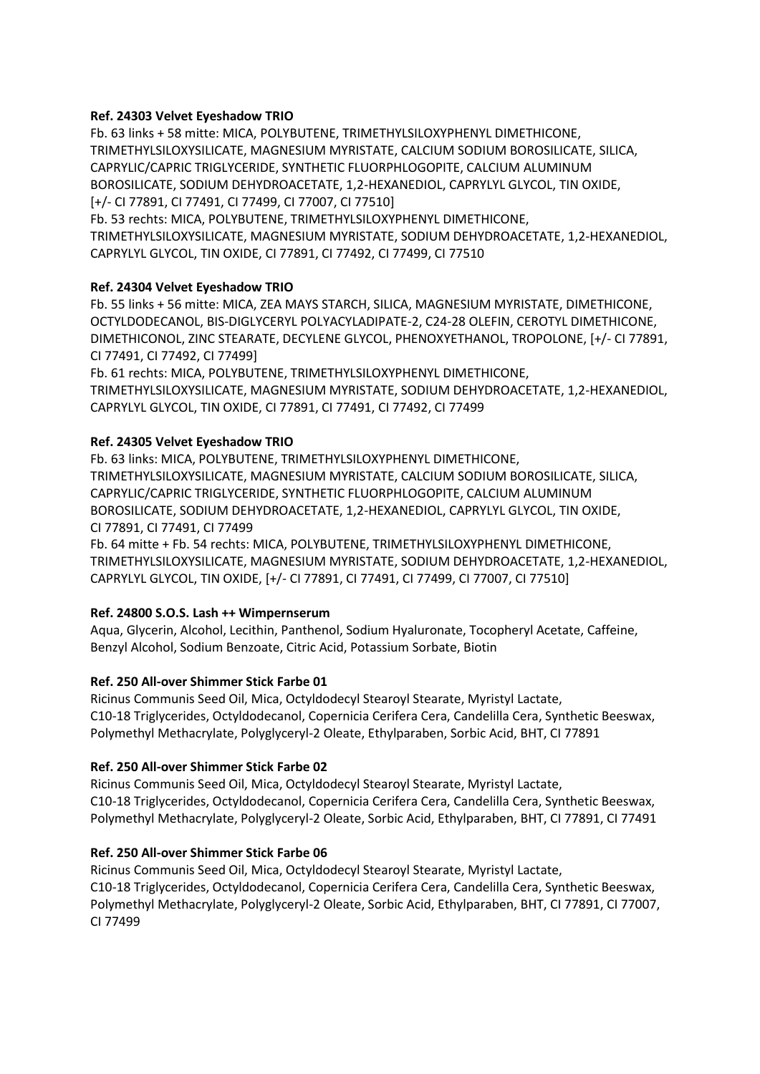# **Ref. 24303 Velvet Eyeshadow TRIO**

Fb. 63 links + 58 mitte: MICA, POLYBUTENE, TRIMETHYLSILOXYPHENYL DIMETHICONE, TRIMETHYLSILOXYSILICATE, MAGNESIUM MYRISTATE, CALCIUM SODIUM BOROSILICATE, SILICA, CAPRYLIC/CAPRIC TRIGLYCERIDE, SYNTHETIC FLUORPHLOGOPITE, CALCIUM ALUMINUM BOROSILICATE, SODIUM DEHYDROACETATE, 1,2-HEXANEDIOL, CAPRYLYL GLYCOL, TIN OXIDE, [+/- CI 77891, CI 77491, CI 77499, CI 77007, CI 77510]

Fb. 53 rechts: MICA, POLYBUTENE, TRIMETHYLSILOXYPHENYL DIMETHICONE, TRIMETHYLSILOXYSILICATE, MAGNESIUM MYRISTATE, SODIUM DEHYDROACETATE, 1,2-HEXANEDIOL, CAPRYLYL GLYCOL, TIN OXIDE, CI 77891, CI 77492, CI 77499, CI 77510

# **Ref. 24304 Velvet Eyeshadow TRIO**

Fb. 55 links + 56 mitte: MICA, ZEA MAYS STARCH, SILICA, MAGNESIUM MYRISTATE, DIMETHICONE, OCTYLDODECANOL, BIS-DIGLYCERYL POLYACYLADIPATE-2, C24-28 OLEFIN, CEROTYL DIMETHICONE, DIMETHICONOL, ZINC STEARATE, DECYLENE GLYCOL, PHENOXYETHANOL, TROPOLONE, [+/- CI 77891, CI 77491, CI 77492, CI 77499]

Fb. 61 rechts: MICA, POLYBUTENE, TRIMETHYLSILOXYPHENYL DIMETHICONE, TRIMETHYLSILOXYSILICATE, MAGNESIUM MYRISTATE, SODIUM DEHYDROACETATE, 1,2-HEXANEDIOL, CAPRYLYL GLYCOL, TIN OXIDE, CI 77891, CI 77491, CI 77492, CI 77499

# **Ref. 24305 Velvet Eyeshadow TRIO**

Fb. 63 links: MICA, POLYBUTENE, TRIMETHYLSILOXYPHENYL DIMETHICONE, TRIMETHYLSILOXYSILICATE, MAGNESIUM MYRISTATE, CALCIUM SODIUM BOROSILICATE, SILICA, CAPRYLIC/CAPRIC TRIGLYCERIDE, SYNTHETIC FLUORPHLOGOPITE, CALCIUM ALUMINUM BOROSILICATE, SODIUM DEHYDROACETATE, 1,2-HEXANEDIOL, CAPRYLYL GLYCOL, TIN OXIDE, CI 77891, CI 77491, CI 77499

Fb. 64 mitte + Fb. 54 rechts: MICA, POLYBUTENE, TRIMETHYLSILOXYPHENYL DIMETHICONE, TRIMETHYLSILOXYSILICATE, MAGNESIUM MYRISTATE, SODIUM DEHYDROACETATE, 1,2-HEXANEDIOL, CAPRYLYL GLYCOL, TIN OXIDE, [+/- CI 77891, CI 77491, CI 77499, CI 77007, CI 77510]

# **Ref. 24800 S.O.S. Lash ++ Wimpernserum**

Aqua, Glycerin, Alcohol, Lecithin, Panthenol, Sodium Hyaluronate, Tocopheryl Acetate, Caffeine, Benzyl Alcohol, Sodium Benzoate, Citric Acid, Potassium Sorbate, Biotin

#### **Ref. 250 All-over Shimmer Stick Farbe 01**

Ricinus Communis Seed Oil, Mica, Octyldodecyl Stearoyl Stearate, Myristyl Lactate, C10-18 Triglycerides, Octyldodecanol, Copernicia Cerifera Cera, Candelilla Cera, Synthetic Beeswax, Polymethyl Methacrylate, Polyglyceryl-2 Oleate, Ethylparaben, Sorbic Acid, BHT, CI 77891

#### **Ref. 250 All-over Shimmer Stick Farbe 02**

Ricinus Communis Seed Oil, Mica, Octyldodecyl Stearoyl Stearate, Myristyl Lactate, C10-18 Triglycerides, Octyldodecanol, Copernicia Cerifera Cera, Candelilla Cera, Synthetic Beeswax, Polymethyl Methacrylate, Polyglyceryl-2 Oleate, Sorbic Acid, Ethylparaben, BHT, CI 77891, CI 77491

#### **Ref. 250 All-over Shimmer Stick Farbe 06**

Ricinus Communis Seed Oil, Mica, Octyldodecyl Stearoyl Stearate, Myristyl Lactate, C10-18 Triglycerides, Octyldodecanol, Copernicia Cerifera Cera, Candelilla Cera, Synthetic Beeswax, Polymethyl Methacrylate, Polyglyceryl-2 Oleate, Sorbic Acid, Ethylparaben, BHT, CI 77891, CI 77007, CI 77499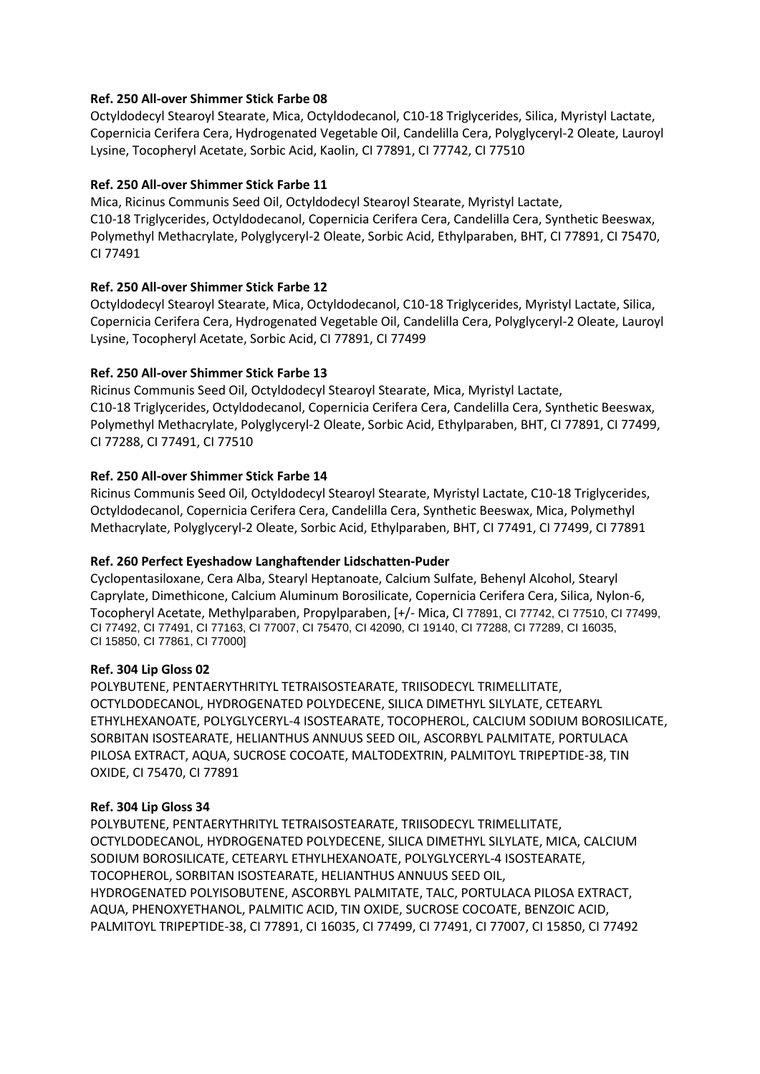# **Ref. 250 All-over Shimmer Stick Farbe 08**

Octyldodecyl Stearoyl Stearate, Mica, Octyldodecanol, C10-18 Triglycerides, Silica, Myristyl Lactate, Copernicia Cerifera Cera, Hydrogenated Vegetable Oil, Candelilla Cera, Polyglyceryl-2 Oleate, Lauroyl Lysine, Tocopheryl Acetate, Sorbic Acid, Kaolin, CI 77891, CI 77742, CI 77510

# **Ref. 250 All-over Shimmer Stick Farbe 11**

Mica, Ricinus Communis Seed Oil, Octyldodecyl Stearoyl Stearate, Myristyl Lactate, C10-18 Triglycerides, Octyldodecanol, Copernicia Cerifera Cera, Candelilla Cera, Synthetic Beeswax, Polymethyl Methacrylate, Polyglyceryl-2 Oleate, Sorbic Acid, Ethylparaben, BHT, CI 77891, CI 75470, CI 77491

# **Ref. 250 All-over Shimmer Stick Farbe 12**

Octyldodecyl Stearoyl Stearate, Mica, Octyldodecanol, C10-18 Triglycerides, Myristyl Lactate, Silica, Copernicia Cerifera Cera, Hydrogenated Vegetable Oil, Candelilla Cera, Polyglyceryl-2 Oleate, Lauroyl Lysine, Tocopheryl Acetate, Sorbic Acid, CI 77891, CI 77499

# **Ref. 250 All-over Shimmer Stick Farbe 13**

Ricinus Communis Seed Oil, Octyldodecyl Stearoyl Stearate, Mica, Myristyl Lactate, C10-18 Triglycerides, Octyldodecanol, Copernicia Cerifera Cera, Candelilla Cera, Synthetic Beeswax, Polymethyl Methacrylate, Polyglyceryl-2 Oleate, Sorbic Acid, Ethylparaben, BHT, CI 77891, CI 77499, CI 77288, CI 77491, CI 77510

# **Ref. 250 All-over Shimmer Stick Farbe 14**

Ricinus Communis Seed Oil, Octyldodecyl Stearoyl Stearate, Myristyl Lactate, C10-18 Triglycerides, Octyldodecanol, Copernicia Cerifera Cera, Candelilla Cera, Synthetic Beeswax, Mica, Polymethyl Methacrylate, Polyglyceryl-2 Oleate, Sorbic Acid, Ethylparaben, BHT, CI 77491, CI 77499, CI 77891

# **Ref. 260 Perfect Eyeshadow Langhaftender Lidschatten-Puder**

Cyclopentasiloxane, Cera Alba, Stearyl Heptanoate, Calcium Sulfate, Behenyl Alcohol, Stearyl Caprylate, Dimethicone, Calcium Aluminum Borosilicate, Copernicia Cerifera Cera, Silica, Nylon-6, Tocopheryl Acetate, Methylparaben, Propylparaben, [+/- Mica, CI 77891, CI 77742, CI 77510, CI 77499, CI 77492, CI 77491, CI 77163, CI 77007, CI 75470, CI 42090, CI 19140, CI 77288, CI 77289, CI 16035, CI 15850, CI 77861, CI 77000]

#### **Ref. 304 Lip Gloss 02**

POLYBUTENE, PENTAERYTHRITYL TETRAISOSTEARATE, TRIISODECYL TRIMELLITATE, OCTYLDODECANOL, HYDROGENATED POLYDECENE, SILICA DIMETHYL SILYLATE, CETEARYL ETHYLHEXANOATE, POLYGLYCERYL-4 ISOSTEARATE, TOCOPHEROL, CALCIUM SODIUM BOROSILICATE, SORBITAN ISOSTEARATE, HELIANTHUS ANNUUS SEED OIL, ASCORBYL PALMITATE, PORTULACA PILOSA EXTRACT, AQUA, SUCROSE COCOATE, MALTODEXTRIN, PALMITOYL TRIPEPTIDE-38, TIN OXIDE, CI 75470, CI 77891

#### **Ref. 304 Lip Gloss 34**

POLYBUTENE, PENTAERYTHRITYL TETRAISOSTEARATE, TRIISODECYL TRIMELLITATE, OCTYLDODECANOL, HYDROGENATED POLYDECENE, SILICA DIMETHYL SILYLATE, MICA, CALCIUM SODIUM BOROSILICATE, CETEARYL ETHYLHEXANOATE, POLYGLYCERYL-4 ISOSTEARATE, TOCOPHEROL, SORBITAN ISOSTEARATE, HELIANTHUS ANNUUS SEED OIL, HYDROGENATED POLYISOBUTENE, ASCORBYL PALMITATE, TALC, PORTULACA PILOSA EXTRACT, AQUA, PHENOXYETHANOL, PALMITIC ACID, TIN OXIDE, SUCROSE COCOATE, BENZOIC ACID, PALMITOYL TRIPEPTIDE-38, CI 77891, CI 16035, CI 77499, CI 77491, CI 77007, CI 15850, CI 77492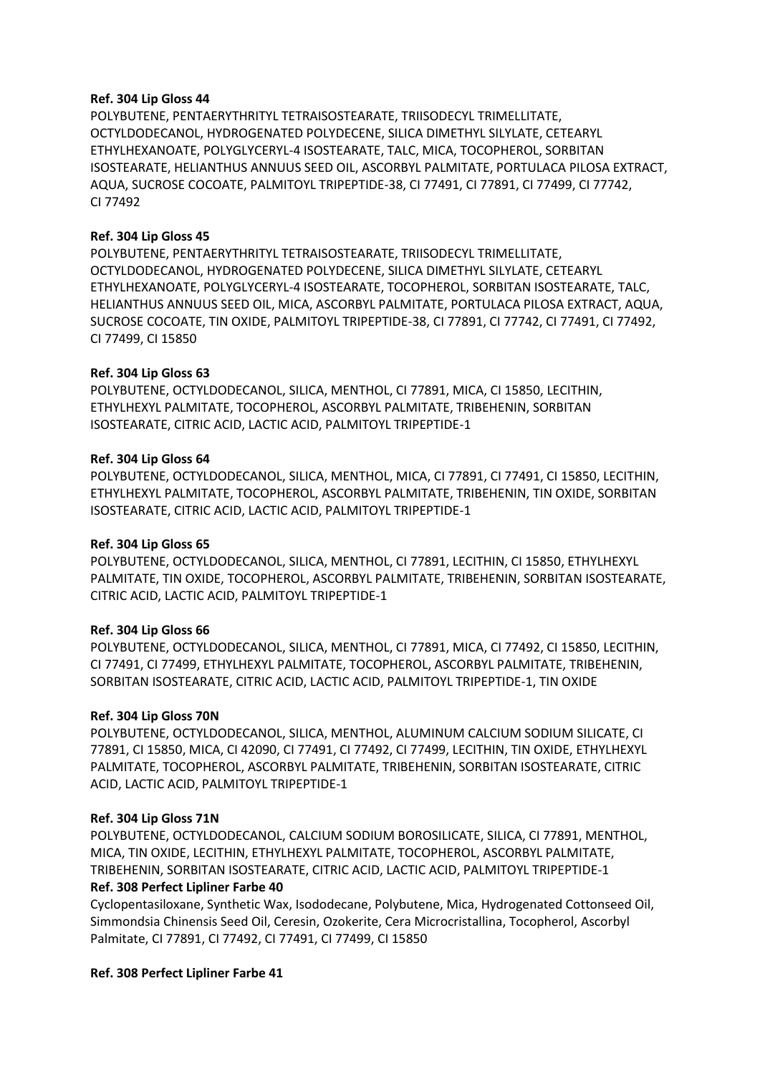#### **Ref. 304 Lip Gloss 44**

POLYBUTENE, PENTAERYTHRITYL TETRAISOSTEARATE, TRIISODECYL TRIMELLITATE, OCTYLDODECANOL, HYDROGENATED POLYDECENE, SILICA DIMETHYL SILYLATE, CETEARYL ETHYLHEXANOATE, POLYGLYCERYL-4 ISOSTEARATE, TALC, MICA, TOCOPHEROL, SORBITAN ISOSTEARATE, HELIANTHUS ANNUUS SEED OIL, ASCORBYL PALMITATE, PORTULACA PILOSA EXTRACT, AQUA, SUCROSE COCOATE, PALMITOYL TRIPEPTIDE-38, CI 77491, CI 77891, CI 77499, CI 77742, CI 77492

#### **Ref. 304 Lip Gloss 45**

POLYBUTENE, PENTAERYTHRITYL TETRAISOSTEARATE, TRIISODECYL TRIMELLITATE, OCTYLDODECANOL, HYDROGENATED POLYDECENE, SILICA DIMETHYL SILYLATE, CETEARYL ETHYLHEXANOATE, POLYGLYCERYL-4 ISOSTEARATE, TOCOPHEROL, SORBITAN ISOSTEARATE, TALC, HELIANTHUS ANNUUS SEED OIL, MICA, ASCORBYL PALMITATE, PORTULACA PILOSA EXTRACT, AQUA, SUCROSE COCOATE, TIN OXIDE, PALMITOYL TRIPEPTIDE-38, CI 77891, CI 77742, CI 77491, CI 77492, CI 77499, CI 15850

#### **Ref. 304 Lip Gloss 63**

POLYBUTENE, OCTYLDODECANOL, SILICA, MENTHOL, CI 77891, MICA, CI 15850, LECITHIN, ETHYLHEXYL PALMITATE, TOCOPHEROL, ASCORBYL PALMITATE, TRIBEHENIN, SORBITAN ISOSTEARATE, CITRIC ACID, LACTIC ACID, PALMITOYL TRIPEPTIDE-1

#### **Ref. 304 Lip Gloss 64**

POLYBUTENE, OCTYLDODECANOL, SILICA, MENTHOL, MICA, CI 77891, CI 77491, CI 15850, LECITHIN, ETHYLHEXYL PALMITATE, TOCOPHEROL, ASCORBYL PALMITATE, TRIBEHENIN, TIN OXIDE, SORBITAN ISOSTEARATE, CITRIC ACID, LACTIC ACID, PALMITOYL TRIPEPTIDE-1

#### **Ref. 304 Lip Gloss 65**

POLYBUTENE, OCTYLDODECANOL, SILICA, MENTHOL, CI 77891, LECITHIN, CI 15850, ETHYLHEXYL PALMITATE, TIN OXIDE, TOCOPHEROL, ASCORBYL PALMITATE, TRIBEHENIN, SORBITAN ISOSTEARATE, CITRIC ACID, LACTIC ACID, PALMITOYL TRIPEPTIDE-1

#### **Ref. 304 Lip Gloss 66**

POLYBUTENE, OCTYLDODECANOL, SILICA, MENTHOL, CI 77891, MICA, CI 77492, CI 15850, LECITHIN, CI 77491, CI 77499, ETHYLHEXYL PALMITATE, TOCOPHEROL, ASCORBYL PALMITATE, TRIBEHENIN, SORBITAN ISOSTEARATE, CITRIC ACID, LACTIC ACID, PALMITOYL TRIPEPTIDE-1, TIN OXIDE

#### **Ref. 304 Lip Gloss 70N**

POLYBUTENE, OCTYLDODECANOL, SILICA, MENTHOL, ALUMINUM CALCIUM SODIUM SILICATE, CI 77891, CI 15850, MICA, CI 42090, CI 77491, CI 77492, CI 77499, LECITHIN, TIN OXIDE, ETHYLHEXYL PALMITATE, TOCOPHEROL, ASCORBYL PALMITATE, TRIBEHENIN, SORBITAN ISOSTEARATE, CITRIC ACID, LACTIC ACID, PALMITOYL TRIPEPTIDE-1

#### **Ref. 304 Lip Gloss 71N**

POLYBUTENE, OCTYLDODECANOL, CALCIUM SODIUM BOROSILICATE, SILICA, CI 77891, MENTHOL, MICA, TIN OXIDE, LECITHIN, ETHYLHEXYL PALMITATE, TOCOPHEROL, ASCORBYL PALMITATE, TRIBEHENIN, SORBITAN ISOSTEARATE, CITRIC ACID, LACTIC ACID, PALMITOYL TRIPEPTIDE-1 **Ref. 308 Perfect Lipliner Farbe 40**

Cyclopentasiloxane, Synthetic Wax, Isododecane, Polybutene, Mica, Hydrogenated Cottonseed Oil, Simmondsia Chinensis Seed Oil, Ceresin, Ozokerite, Cera Microcristallina, Tocopherol, Ascorbyl Palmitate, CI 77891, CI 77492, CI 77491, CI 77499, CI 15850

#### **Ref. 308 Perfect Lipliner Farbe 41**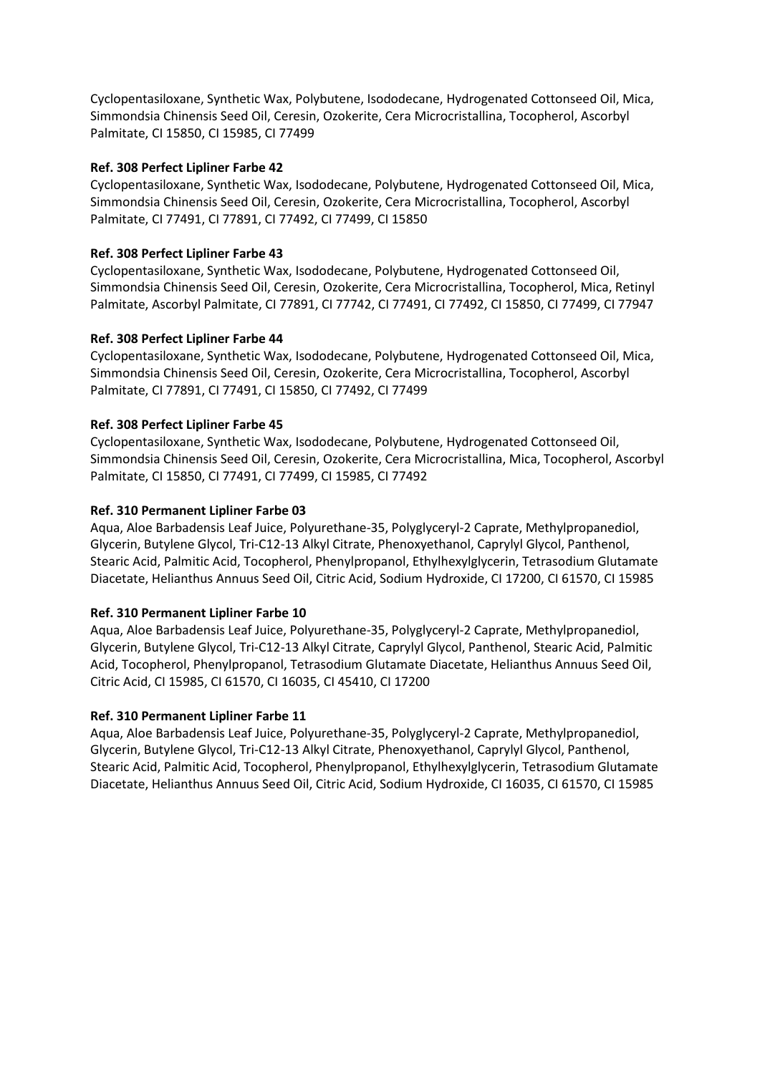Cyclopentasiloxane, Synthetic Wax, Polybutene, Isododecane, Hydrogenated Cottonseed Oil, Mica, Simmondsia Chinensis Seed Oil, Ceresin, Ozokerite, Cera Microcristallina, Tocopherol, Ascorbyl Palmitate, CI 15850, CI 15985, CI 77499

# **Ref. 308 Perfect Lipliner Farbe 42**

Cyclopentasiloxane, Synthetic Wax, Isododecane, Polybutene, Hydrogenated Cottonseed Oil, Mica, Simmondsia Chinensis Seed Oil, Ceresin, Ozokerite, Cera Microcristallina, Tocopherol, Ascorbyl Palmitate, CI 77491, CI 77891, CI 77492, CI 77499, CI 15850

# **Ref. 308 Perfect Lipliner Farbe 43**

Cyclopentasiloxane, Synthetic Wax, Isododecane, Polybutene, Hydrogenated Cottonseed Oil, Simmondsia Chinensis Seed Oil, Ceresin, Ozokerite, Cera Microcristallina, Tocopherol, Mica, Retinyl Palmitate, Ascorbyl Palmitate, CI 77891, CI 77742, CI 77491, CI 77492, CI 15850, CI 77499, CI 77947

# **Ref. 308 Perfect Lipliner Farbe 44**

Cyclopentasiloxane, Synthetic Wax, Isododecane, Polybutene, Hydrogenated Cottonseed Oil, Mica, Simmondsia Chinensis Seed Oil, Ceresin, Ozokerite, Cera Microcristallina, Tocopherol, Ascorbyl Palmitate, CI 77891, CI 77491, CI 15850, CI 77492, CI 77499

# **Ref. 308 Perfect Lipliner Farbe 45**

Cyclopentasiloxane, Synthetic Wax, Isododecane, Polybutene, Hydrogenated Cottonseed Oil, Simmondsia Chinensis Seed Oil, Ceresin, Ozokerite, Cera Microcristallina, Mica, Tocopherol, Ascorbyl Palmitate, CI 15850, CI 77491, CI 77499, CI 15985, CI 77492

# **Ref. 310 Permanent Lipliner Farbe 03**

Aqua, Aloe Barbadensis Leaf Juice, Polyurethane-35, Polyglyceryl-2 Caprate, Methylpropanediol, Glycerin, Butylene Glycol, Tri-C12-13 Alkyl Citrate, Phenoxyethanol, Caprylyl Glycol, Panthenol, Stearic Acid, Palmitic Acid, Tocopherol, Phenylpropanol, Ethylhexylglycerin, Tetrasodium Glutamate Diacetate, Helianthus Annuus Seed Oil, Citric Acid, Sodium Hydroxide, CI 17200, CI 61570, CI 15985

# **Ref. 310 Permanent Lipliner Farbe 10**

Aqua, Aloe Barbadensis Leaf Juice, Polyurethane-35, Polyglyceryl-2 Caprate, Methylpropanediol, Glycerin, Butylene Glycol, Tri-C12-13 Alkyl Citrate, Caprylyl Glycol, Panthenol, Stearic Acid, Palmitic Acid, Tocopherol, Phenylpropanol, Tetrasodium Glutamate Diacetate, Helianthus Annuus Seed Oil, Citric Acid, CI 15985, CI 61570, CI 16035, CI 45410, CI 17200

#### **Ref. 310 Permanent Lipliner Farbe 11**

Aqua, Aloe Barbadensis Leaf Juice, Polyurethane-35, Polyglyceryl-2 Caprate, Methylpropanediol, Glycerin, Butylene Glycol, Tri-C12-13 Alkyl Citrate, Phenoxyethanol, Caprylyl Glycol, Panthenol, Stearic Acid, Palmitic Acid, Tocopherol, Phenylpropanol, Ethylhexylglycerin, Tetrasodium Glutamate Diacetate, Helianthus Annuus Seed Oil, Citric Acid, Sodium Hydroxide, CI 16035, CI 61570, CI 15985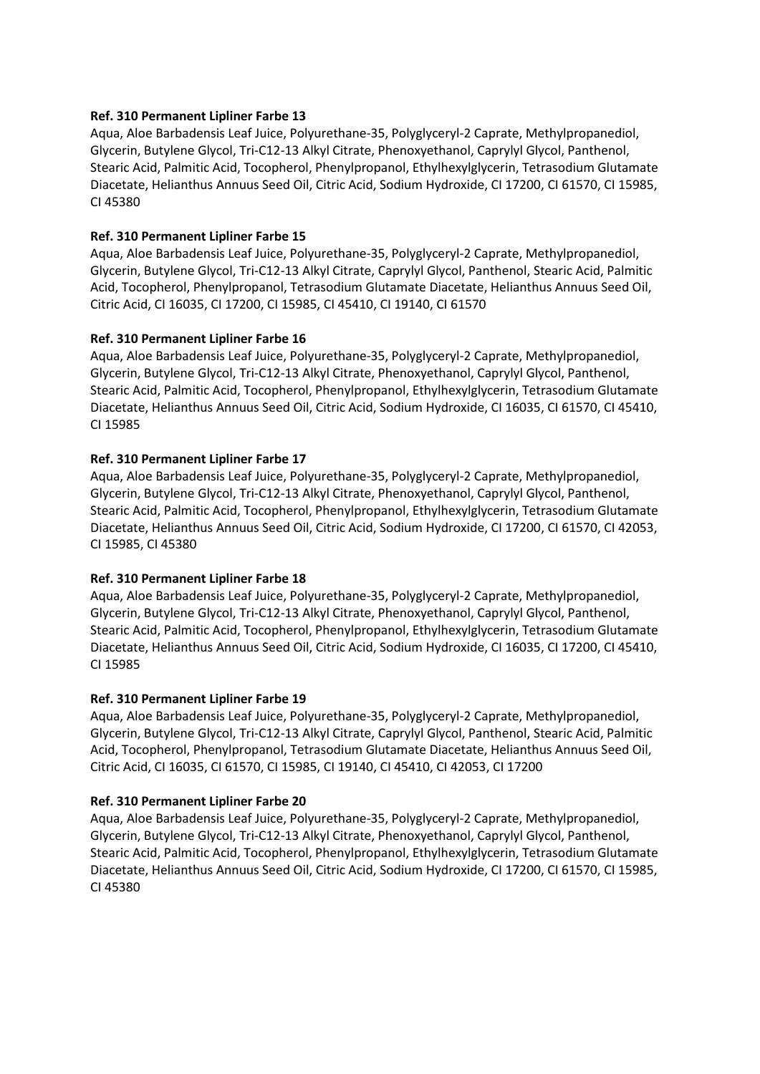# **Ref. 310 Permanent Lipliner Farbe 13**

Aqua, Aloe Barbadensis Leaf Juice, Polyurethane-35, Polyglyceryl-2 Caprate, Methylpropanediol, Glycerin, Butylene Glycol, Tri-C12-13 Alkyl Citrate, Phenoxyethanol, Caprylyl Glycol, Panthenol, Stearic Acid, Palmitic Acid, Tocopherol, Phenylpropanol, Ethylhexylglycerin, Tetrasodium Glutamate Diacetate, Helianthus Annuus Seed Oil, Citric Acid, Sodium Hydroxide, CI 17200, CI 61570, CI 15985, CI 45380

# **Ref. 310 Permanent Lipliner Farbe 15**

Aqua, Aloe Barbadensis Leaf Juice, Polyurethane-35, Polyglyceryl-2 Caprate, Methylpropanediol, Glycerin, Butylene Glycol, Tri-C12-13 Alkyl Citrate, Caprylyl Glycol, Panthenol, Stearic Acid, Palmitic Acid, Tocopherol, Phenylpropanol, Tetrasodium Glutamate Diacetate, Helianthus Annuus Seed Oil, Citric Acid, CI 16035, CI 17200, CI 15985, CI 45410, CI 19140, CI 61570

# **Ref. 310 Permanent Lipliner Farbe 16**

Aqua, Aloe Barbadensis Leaf Juice, Polyurethane-35, Polyglyceryl-2 Caprate, Methylpropanediol, Glycerin, Butylene Glycol, Tri-C12-13 Alkyl Citrate, Phenoxyethanol, Caprylyl Glycol, Panthenol, Stearic Acid, Palmitic Acid, Tocopherol, Phenylpropanol, Ethylhexylglycerin, Tetrasodium Glutamate Diacetate, Helianthus Annuus Seed Oil, Citric Acid, Sodium Hydroxide, CI 16035, CI 61570, CI 45410, CI 15985

# **Ref. 310 Permanent Lipliner Farbe 17**

Aqua, Aloe Barbadensis Leaf Juice, Polyurethane-35, Polyglyceryl-2 Caprate, Methylpropanediol, Glycerin, Butylene Glycol, Tri-C12-13 Alkyl Citrate, Phenoxyethanol, Caprylyl Glycol, Panthenol, Stearic Acid, Palmitic Acid, Tocopherol, Phenylpropanol, Ethylhexylglycerin, Tetrasodium Glutamate Diacetate, Helianthus Annuus Seed Oil, Citric Acid, Sodium Hydroxide, CI 17200, CI 61570, CI 42053, CI 15985, CI 45380

# **Ref. 310 Permanent Lipliner Farbe 18**

Aqua, Aloe Barbadensis Leaf Juice, Polyurethane-35, Polyglyceryl-2 Caprate, Methylpropanediol, Glycerin, Butylene Glycol, Tri-C12-13 Alkyl Citrate, Phenoxyethanol, Caprylyl Glycol, Panthenol, Stearic Acid, Palmitic Acid, Tocopherol, Phenylpropanol, Ethylhexylglycerin, Tetrasodium Glutamate Diacetate, Helianthus Annuus Seed Oil, Citric Acid, Sodium Hydroxide, CI 16035, CI 17200, CI 45410, CI 15985

#### **Ref. 310 Permanent Lipliner Farbe 19**

Aqua, Aloe Barbadensis Leaf Juice, Polyurethane-35, Polyglyceryl-2 Caprate, Methylpropanediol, Glycerin, Butylene Glycol, Tri-C12-13 Alkyl Citrate, Caprylyl Glycol, Panthenol, Stearic Acid, Palmitic Acid, Tocopherol, Phenylpropanol, Tetrasodium Glutamate Diacetate, Helianthus Annuus Seed Oil, Citric Acid, CI 16035, CI 61570, CI 15985, CI 19140, CI 45410, CI 42053, CI 17200

# **Ref. 310 Permanent Lipliner Farbe 20**

Aqua, Aloe Barbadensis Leaf Juice, Polyurethane-35, Polyglyceryl-2 Caprate, Methylpropanediol, Glycerin, Butylene Glycol, Tri-C12-13 Alkyl Citrate, Phenoxyethanol, Caprylyl Glycol, Panthenol, Stearic Acid, Palmitic Acid, Tocopherol, Phenylpropanol, Ethylhexylglycerin, Tetrasodium Glutamate Diacetate, Helianthus Annuus Seed Oil, Citric Acid, Sodium Hydroxide, CI 17200, CI 61570, CI 15985, CI 45380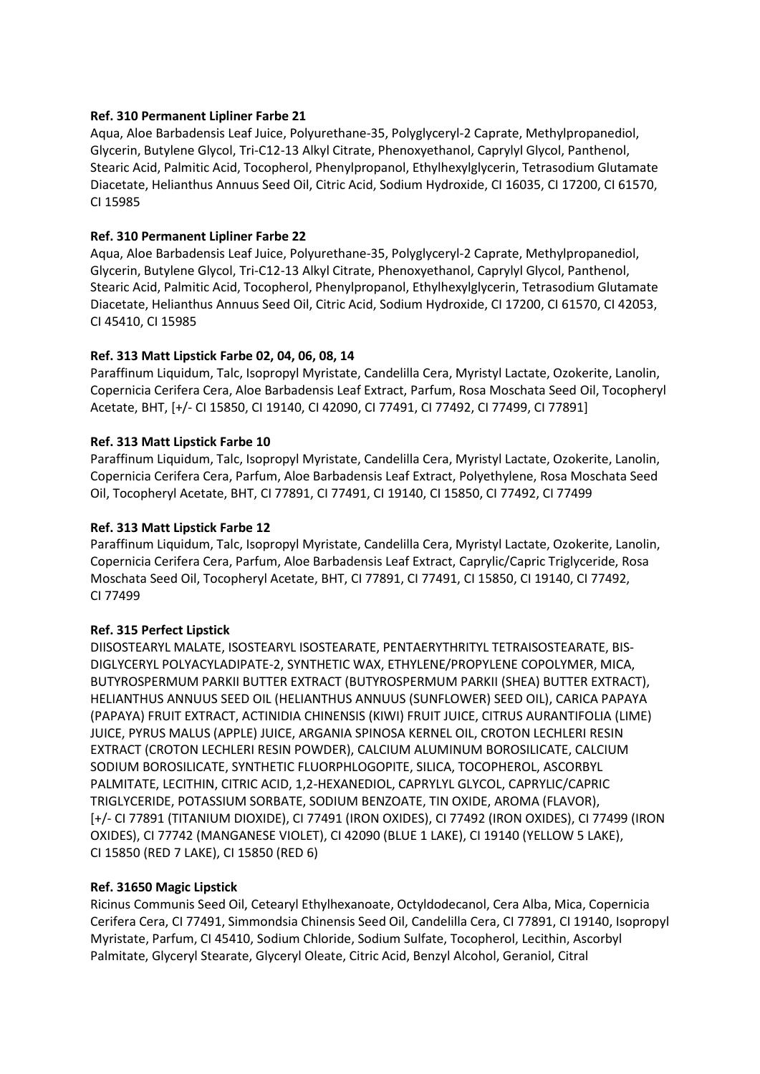# **Ref. 310 Permanent Lipliner Farbe 21**

Aqua, Aloe Barbadensis Leaf Juice, Polyurethane-35, Polyglyceryl-2 Caprate, Methylpropanediol, Glycerin, Butylene Glycol, Tri-C12-13 Alkyl Citrate, Phenoxyethanol, Caprylyl Glycol, Panthenol, Stearic Acid, Palmitic Acid, Tocopherol, Phenylpropanol, Ethylhexylglycerin, Tetrasodium Glutamate Diacetate, Helianthus Annuus Seed Oil, Citric Acid, Sodium Hydroxide, CI 16035, CI 17200, CI 61570, CI 15985

# **Ref. 310 Permanent Lipliner Farbe 22**

Aqua, Aloe Barbadensis Leaf Juice, Polyurethane-35, Polyglyceryl-2 Caprate, Methylpropanediol, Glycerin, Butylene Glycol, Tri-C12-13 Alkyl Citrate, Phenoxyethanol, Caprylyl Glycol, Panthenol, Stearic Acid, Palmitic Acid, Tocopherol, Phenylpropanol, Ethylhexylglycerin, Tetrasodium Glutamate Diacetate, Helianthus Annuus Seed Oil, Citric Acid, Sodium Hydroxide, CI 17200, CI 61570, CI 42053, CI 45410, CI 15985

# **Ref. 313 Matt Lipstick Farbe 02, 04, 06, 08, 14**

Paraffinum Liquidum, Talc, Isopropyl Myristate, Candelilla Cera, Myristyl Lactate, Ozokerite, Lanolin, Copernicia Cerifera Cera, Aloe Barbadensis Leaf Extract, Parfum, Rosa Moschata Seed Oil, Tocopheryl Acetate, BHT, [+/- CI 15850, CI 19140, CI 42090, CI 77491, CI 77492, CI 77499, CI 77891]

# **Ref. 313 Matt Lipstick Farbe 10**

Paraffinum Liquidum, Talc, Isopropyl Myristate, Candelilla Cera, Myristyl Lactate, Ozokerite, Lanolin, Copernicia Cerifera Cera, Parfum, Aloe Barbadensis Leaf Extract, Polyethylene, Rosa Moschata Seed Oil, Tocopheryl Acetate, BHT, CI 77891, CI 77491, CI 19140, CI 15850, CI 77492, CI 77499

# **Ref. 313 Matt Lipstick Farbe 12**

Paraffinum Liquidum, Talc, Isopropyl Myristate, Candelilla Cera, Myristyl Lactate, Ozokerite, Lanolin, Copernicia Cerifera Cera, Parfum, Aloe Barbadensis Leaf Extract, Caprylic/Capric Triglyceride, Rosa Moschata Seed Oil, Tocopheryl Acetate, BHT, CI 77891, CI 77491, CI 15850, CI 19140, CI 77492, CI 77499

# **Ref. 315 Perfect Lipstick**

DIISOSTEARYL MALATE, ISOSTEARYL ISOSTEARATE, PENTAERYTHRITYL TETRAISOSTEARATE, BIS-DIGLYCERYL POLYACYLADIPATE-2, SYNTHETIC WAX, ETHYLENE/PROPYLENE COPOLYMER, MICA, BUTYROSPERMUM PARKII BUTTER EXTRACT (BUTYROSPERMUM PARKII (SHEA) BUTTER EXTRACT), HELIANTHUS ANNUUS SEED OIL (HELIANTHUS ANNUUS (SUNFLOWER) SEED OIL), CARICA PAPAYA (PAPAYA) FRUIT EXTRACT, ACTINIDIA CHINENSIS (KIWI) FRUIT JUICE, CITRUS AURANTIFOLIA (LIME) JUICE, PYRUS MALUS (APPLE) JUICE, ARGANIA SPINOSA KERNEL OIL, CROTON LECHLERI RESIN EXTRACT (CROTON LECHLERI RESIN POWDER), CALCIUM ALUMINUM BOROSILICATE, CALCIUM SODIUM BOROSILICATE, SYNTHETIC FLUORPHLOGOPITE, SILICA, TOCOPHEROL, ASCORBYL PALMITATE, LECITHIN, CITRIC ACID, 1,2-HEXANEDIOL, CAPRYLYL GLYCOL, CAPRYLIC/CAPRIC TRIGLYCERIDE, POTASSIUM SORBATE, SODIUM BENZOATE, TIN OXIDE, AROMA (FLAVOR), [+/- CI 77891 (TITANIUM DIOXIDE), CI 77491 (IRON OXIDES), CI 77492 (IRON OXIDES), CI 77499 (IRON OXIDES), CI 77742 (MANGANESE VIOLET), CI 42090 (BLUE 1 LAKE), CI 19140 (YELLOW 5 LAKE), CI 15850 (RED 7 LAKE), CI 15850 (RED 6)

#### **Ref. 31650 Magic Lipstick**

Ricinus Communis Seed Oil, Cetearyl Ethylhexanoate, Octyldodecanol, Cera Alba, Mica, Copernicia Cerifera Cera, CI 77491, Simmondsia Chinensis Seed Oil, Candelilla Cera, CI 77891, CI 19140, Isopropyl Myristate, Parfum, CI 45410, Sodium Chloride, Sodium Sulfate, Tocopherol, Lecithin, Ascorbyl Palmitate, Glyceryl Stearate, Glyceryl Oleate, Citric Acid, Benzyl Alcohol, Geraniol, Citral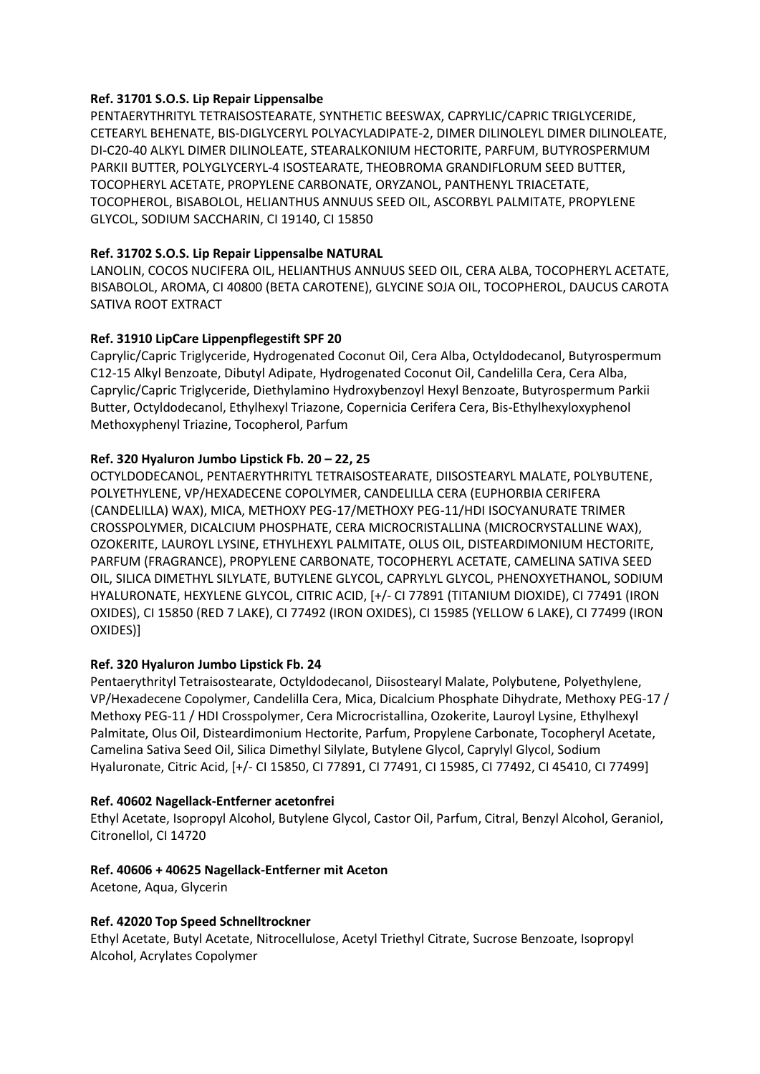#### **Ref. 31701 S.O.S. Lip Repair Lippensalbe**

PENTAERYTHRITYL TETRAISOSTEARATE, SYNTHETIC BEESWAX, CAPRYLIC/CAPRIC TRIGLYCERIDE, CETEARYL BEHENATE, BIS-DIGLYCERYL POLYACYLADIPATE-2, DIMER DILINOLEYL DIMER DILINOLEATE, DI-C20-40 ALKYL DIMER DILINOLEATE, STEARALKONIUM HECTORITE, PARFUM, BUTYROSPERMUM PARKII BUTTER, POLYGLYCERYL-4 ISOSTEARATE, THEOBROMA GRANDIFLORUM SEED BUTTER, TOCOPHERYL ACETATE, PROPYLENE CARBONATE, ORYZANOL, PANTHENYL TRIACETATE, TOCOPHEROL, BISABOLOL, HELIANTHUS ANNUUS SEED OIL, ASCORBYL PALMITATE, PROPYLENE GLYCOL, SODIUM SACCHARIN, CI 19140, CI 15850

# **Ref. 31702 S.O.S. Lip Repair Lippensalbe NATURAL**

LANOLIN, COCOS NUCIFERA OIL, HELIANTHUS ANNUUS SEED OIL, CERA ALBA, TOCOPHERYL ACETATE, BISABOLOL, AROMA, CI 40800 (BETA CAROTENE), GLYCINE SOJA OIL, TOCOPHEROL, DAUCUS CAROTA SATIVA ROOT EXTRACT

# **Ref. 31910 LipCare Lippenpflegestift SPF 20**

Caprylic/Capric Triglyceride, Hydrogenated Coconut Oil, Cera Alba, Octyldodecanol, Butyrospermum C12-15 Alkyl Benzoate, Dibutyl Adipate, Hydrogenated Coconut Oil, Candelilla Cera, Cera Alba, Caprylic/Capric Triglyceride, Diethylamino Hydroxybenzoyl Hexyl Benzoate, Butyrospermum Parkii Butter, Octyldodecanol, Ethylhexyl Triazone, Copernicia Cerifera Cera, Bis-Ethylhexyloxyphenol Methoxyphenyl Triazine, Tocopherol, Parfum

# **Ref. 320 Hyaluron Jumbo Lipstick Fb. 20 – 22, 25**

OCTYLDODECANOL, PENTAERYTHRITYL TETRAISOSTEARATE, DIISOSTEARYL MALATE, POLYBUTENE, POLYETHYLENE, VP/HEXADECENE COPOLYMER, CANDELILLA CERA (EUPHORBIA CERIFERA (CANDELILLA) WAX), MICA, METHOXY PEG-17/METHOXY PEG-11/HDI ISOCYANURATE TRIMER CROSSPOLYMER, DICALCIUM PHOSPHATE, CERA MICROCRISTALLINA (MICROCRYSTALLINE WAX), OZOKERITE, LAUROYL LYSINE, ETHYLHEXYL PALMITATE, OLUS OIL, DISTEARDIMONIUM HECTORITE, PARFUM (FRAGRANCE), PROPYLENE CARBONATE, TOCOPHERYL ACETATE, CAMELINA SATIVA SEED OIL, SILICA DIMETHYL SILYLATE, BUTYLENE GLYCOL, CAPRYLYL GLYCOL, PHENOXYETHANOL, SODIUM HYALURONATE, HEXYLENE GLYCOL, CITRIC ACID, [+/- CI 77891 (TITANIUM DIOXIDE), CI 77491 (IRON OXIDES), CI 15850 (RED 7 LAKE), CI 77492 (IRON OXIDES), CI 15985 (YELLOW 6 LAKE), CI 77499 (IRON OXIDES)]

#### **Ref. 320 Hyaluron Jumbo Lipstick Fb. 24**

Pentaerythrityl Tetraisostearate, Octyldodecanol, Diisostearyl Malate, Polybutene, Polyethylene, VP/Hexadecene Copolymer, Candelilla Cera, Mica, Dicalcium Phosphate Dihydrate, Methoxy PEG-17 / Methoxy PEG-11 / HDI Crosspolymer, Cera Microcristallina, Ozokerite, Lauroyl Lysine, Ethylhexyl Palmitate, Olus Oil, Disteardimonium Hectorite, Parfum, Propylene Carbonate, Tocopheryl Acetate, Camelina Sativa Seed Oil, Silica Dimethyl Silylate, Butylene Glycol, Caprylyl Glycol, Sodium Hyaluronate, Citric Acid, [+/- CI 15850, CI 77891, CI 77491, CI 15985, CI 77492, CI 45410, CI 77499]

#### **Ref. 40602 Nagellack-Entferner acetonfrei**

Ethyl Acetate, Isopropyl Alcohol, Butylene Glycol, Castor Oil, Parfum, Citral, Benzyl Alcohol, Geraniol, Citronellol, CI 14720

#### **Ref. 40606 + 40625 Nagellack-Entferner mit Aceton**

Acetone, Aqua, Glycerin

#### **Ref. 42020 Top Speed Schnelltrockner**

Ethyl Acetate, Butyl Acetate, Nitrocellulose, Acetyl Triethyl Citrate, Sucrose Benzoate, Isopropyl Alcohol, Acrylates Copolymer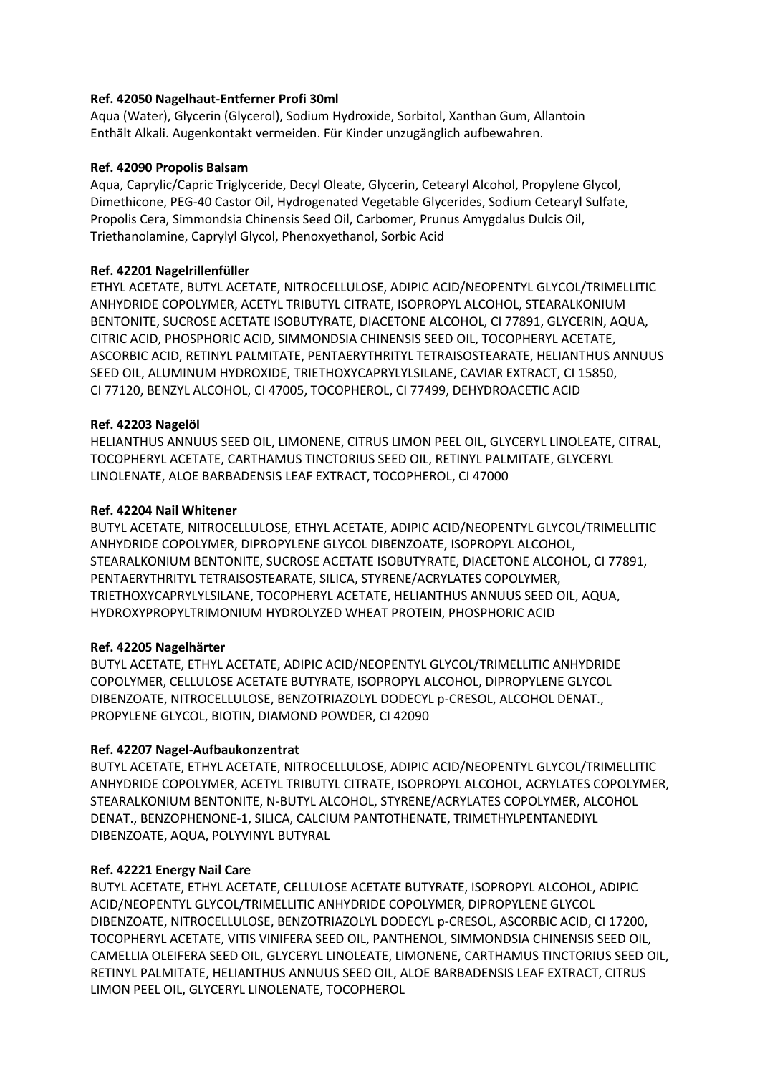# **Ref. 42050 Nagelhaut-Entferner Profi 30ml**

Aqua (Water), Glycerin (Glycerol), Sodium Hydroxide, Sorbitol, Xanthan Gum, Allantoin Enthält Alkali. Augenkontakt vermeiden. Für Kinder unzugänglich aufbewahren.

#### **Ref. 42090 Propolis Balsam**

Aqua, Caprylic/Capric Triglyceride, Decyl Oleate, Glycerin, Cetearyl Alcohol, Propylene Glycol, Dimethicone, PEG-40 Castor Oil, Hydrogenated Vegetable Glycerides, Sodium Cetearyl Sulfate, Propolis Cera, Simmondsia Chinensis Seed Oil, Carbomer, Prunus Amygdalus Dulcis Oil, Triethanolamine, Caprylyl Glycol, Phenoxyethanol, Sorbic Acid

# **Ref. 42201 Nagelrillenfüller**

ETHYL ACETATE, BUTYL ACETATE, NITROCELLULOSE, ADIPIC ACID/NEOPENTYL GLYCOL/TRIMELLITIC ANHYDRIDE COPOLYMER, ACETYL TRIBUTYL CITRATE, ISOPROPYL ALCOHOL, STEARALKONIUM BENTONITE, SUCROSE ACETATE ISOBUTYRATE, DIACETONE ALCOHOL, CI 77891, GLYCERIN, AQUA, CITRIC ACID, PHOSPHORIC ACID, SIMMONDSIA CHINENSIS SEED OIL, TOCOPHERYL ACETATE, ASCORBIC ACID, RETINYL PALMITATE, PENTAERYTHRITYL TETRAISOSTEARATE, HELIANTHUS ANNUUS SEED OIL, ALUMINUM HYDROXIDE, TRIETHOXYCAPRYLYLSILANE, CAVIAR EXTRACT, CI 15850, CI 77120, BENZYL ALCOHOL, CI 47005, TOCOPHEROL, CI 77499, DEHYDROACETIC ACID

# **Ref. 42203 Nagelöl**

HELIANTHUS ANNUUS SEED OIL, LIMONENE, CITRUS LIMON PEEL OIL, GLYCERYL LINOLEATE, CITRAL, TOCOPHERYL ACETATE, CARTHAMUS TINCTORIUS SEED OIL, RETINYL PALMITATE, GLYCERYL LINOLENATE, ALOE BARBADENSIS LEAF EXTRACT, TOCOPHEROL, CI 47000

# **Ref. 42204 Nail Whitener**

BUTYL ACETATE, NITROCELLULOSE, ETHYL ACETATE, ADIPIC ACID/NEOPENTYL GLYCOL/TRIMELLITIC ANHYDRIDE COPOLYMER, DIPROPYLENE GLYCOL DIBENZOATE, ISOPROPYL ALCOHOL, STEARALKONIUM BENTONITE, SUCROSE ACETATE ISOBUTYRATE, DIACETONE ALCOHOL, CI 77891, PENTAERYTHRITYL TETRAISOSTEARATE, SILICA, STYRENE/ACRYLATES COPOLYMER, TRIETHOXYCAPRYLYLSILANE, TOCOPHERYL ACETATE, HELIANTHUS ANNUUS SEED OIL, AQUA, HYDROXYPROPYLTRIMONIUM HYDROLYZED WHEAT PROTEIN, PHOSPHORIC ACID

# **Ref. 42205 Nagelhärter**

BUTYL ACETATE, ETHYL ACETATE, ADIPIC ACID/NEOPENTYL GLYCOL/TRIMELLITIC ANHYDRIDE COPOLYMER, CELLULOSE ACETATE BUTYRATE, ISOPROPYL ALCOHOL, DIPROPYLENE GLYCOL DIBENZOATE, NITROCELLULOSE, BENZOTRIAZOLYL DODECYL p-CRESOL, ALCOHOL DENAT., PROPYLENE GLYCOL, BIOTIN, DIAMOND POWDER, CI 42090

#### **Ref. 42207 Nagel-Aufbaukonzentrat**

BUTYL ACETATE, ETHYL ACETATE, NITROCELLULOSE, ADIPIC ACID/NEOPENTYL GLYCOL/TRIMELLITIC ANHYDRIDE COPOLYMER, ACETYL TRIBUTYL CITRATE, ISOPROPYL ALCOHOL, ACRYLATES COPOLYMER, STEARALKONIUM BENTONITE, N-BUTYL ALCOHOL, STYRENE/ACRYLATES COPOLYMER, ALCOHOL DENAT., BENZOPHENONE-1, SILICA, CALCIUM PANTOTHENATE, TRIMETHYLPENTANEDIYL DIBENZOATE, AQUA, POLYVINYL BUTYRAL

# **Ref. 42221 Energy Nail Care**

BUTYL ACETATE, ETHYL ACETATE, CELLULOSE ACETATE BUTYRATE, ISOPROPYL ALCOHOL, ADIPIC ACID/NEOPENTYL GLYCOL/TRIMELLITIC ANHYDRIDE COPOLYMER, DIPROPYLENE GLYCOL DIBENZOATE, NITROCELLULOSE, BENZOTRIAZOLYL DODECYL p-CRESOL, ASCORBIC ACID, CI 17200, TOCOPHERYL ACETATE, VITIS VINIFERA SEED OIL, PANTHENOL, SIMMONDSIA CHINENSIS SEED OIL, CAMELLIA OLEIFERA SEED OIL, GLYCERYL LINOLEATE, LIMONENE, CARTHAMUS TINCTORIUS SEED OIL, RETINYL PALMITATE, HELIANTHUS ANNUUS SEED OIL, ALOE BARBADENSIS LEAF EXTRACT, CITRUS LIMON PEEL OIL, GLYCERYL LINOLENATE, TOCOPHEROL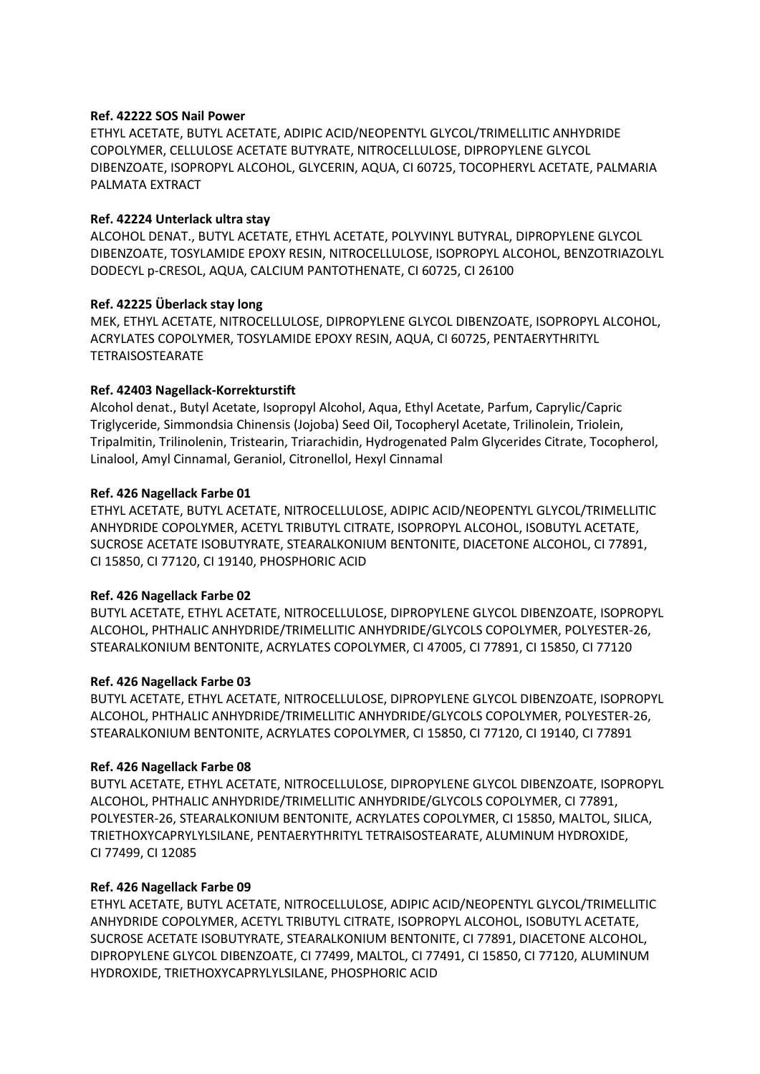# **Ref. 42222 SOS Nail Power**

ETHYL ACETATE, BUTYL ACETATE, ADIPIC ACID/NEOPENTYL GLYCOL/TRIMELLITIC ANHYDRIDE COPOLYMER, CELLULOSE ACETATE BUTYRATE, NITROCELLULOSE, DIPROPYLENE GLYCOL DIBENZOATE, ISOPROPYL ALCOHOL, GLYCERIN, AQUA, CI 60725, TOCOPHERYL ACETATE, PALMARIA PALMATA EXTRACT

# **Ref. 42224 Unterlack ultra stay**

ALCOHOL DENAT., BUTYL ACETATE, ETHYL ACETATE, POLYVINYL BUTYRAL, DIPROPYLENE GLYCOL DIBENZOATE, TOSYLAMIDE EPOXY RESIN, NITROCELLULOSE, ISOPROPYL ALCOHOL, BENZOTRIAZOLYL DODECYL p-CRESOL, AQUA, CALCIUM PANTOTHENATE, CI 60725, CI 26100

# **Ref. 42225 Überlack stay long**

MEK, ETHYL ACETATE, NITROCELLULOSE, DIPROPYLENE GLYCOL DIBENZOATE, ISOPROPYL ALCOHOL, ACRYLATES COPOLYMER, TOSYLAMIDE EPOXY RESIN, AQUA, CI 60725, PENTAERYTHRITYL TETRAISOSTEARATE

# **Ref. 42403 Nagellack-Korrekturstift**

Alcohol denat., Butyl Acetate, Isopropyl Alcohol, Aqua, Ethyl Acetate, Parfum, Caprylic/Capric Triglyceride, Simmondsia Chinensis (Jojoba) Seed Oil, Tocopheryl Acetate, Trilinolein, Triolein, Tripalmitin, Trilinolenin, Tristearin, Triarachidin, Hydrogenated Palm Glycerides Citrate, Tocopherol, Linalool, Amyl Cinnamal, Geraniol, Citronellol, Hexyl Cinnamal

# **Ref. 426 Nagellack Farbe 01**

ETHYL ACETATE, BUTYL ACETATE, NITROCELLULOSE, ADIPIC ACID/NEOPENTYL GLYCOL/TRIMELLITIC ANHYDRIDE COPOLYMER, ACETYL TRIBUTYL CITRATE, ISOPROPYL ALCOHOL, ISOBUTYL ACETATE, SUCROSE ACETATE ISOBUTYRATE, STEARALKONIUM BENTONITE, DIACETONE ALCOHOL, CI 77891, CI 15850, CI 77120, CI 19140, PHOSPHORIC ACID

#### **Ref. 426 Nagellack Farbe 02**

BUTYL ACETATE, ETHYL ACETATE, NITROCELLULOSE, DIPROPYLENE GLYCOL DIBENZOATE, ISOPROPYL ALCOHOL, PHTHALIC ANHYDRIDE/TRIMELLITIC ANHYDRIDE/GLYCOLS COPOLYMER, POLYESTER-26, STEARALKONIUM BENTONITE, ACRYLATES COPOLYMER, CI 47005, CI 77891, CI 15850, CI 77120

# **Ref. 426 Nagellack Farbe 03**

BUTYL ACETATE, ETHYL ACETATE, NITROCELLULOSE, DIPROPYLENE GLYCOL DIBENZOATE, ISOPROPYL ALCOHOL, PHTHALIC ANHYDRIDE/TRIMELLITIC ANHYDRIDE/GLYCOLS COPOLYMER, POLYESTER-26, STEARALKONIUM BENTONITE, ACRYLATES COPOLYMER, CI 15850, CI 77120, CI 19140, CI 77891

#### **Ref. 426 Nagellack Farbe 08**

BUTYL ACETATE, ETHYL ACETATE, NITROCELLULOSE, DIPROPYLENE GLYCOL DIBENZOATE, ISOPROPYL ALCOHOL, PHTHALIC ANHYDRIDE/TRIMELLITIC ANHYDRIDE/GLYCOLS COPOLYMER, CI 77891, POLYESTER-26, STEARALKONIUM BENTONITE, ACRYLATES COPOLYMER, CI 15850, MALTOL, SILICA, TRIETHOXYCAPRYLYLSILANE, PENTAERYTHRITYL TETRAISOSTEARATE, ALUMINUM HYDROXIDE, CI 77499, CI 12085

# **Ref. 426 Nagellack Farbe 09**

ETHYL ACETATE, BUTYL ACETATE, NITROCELLULOSE, ADIPIC ACID/NEOPENTYL GLYCOL/TRIMELLITIC ANHYDRIDE COPOLYMER, ACETYL TRIBUTYL CITRATE, ISOPROPYL ALCOHOL, ISOBUTYL ACETATE, SUCROSE ACETATE ISOBUTYRATE, STEARALKONIUM BENTONITE, CI 77891, DIACETONE ALCOHOL, DIPROPYLENE GLYCOL DIBENZOATE, CI 77499, MALTOL, CI 77491, CI 15850, CI 77120, ALUMINUM HYDROXIDE, TRIETHOXYCAPRYLYLSILANE, PHOSPHORIC ACID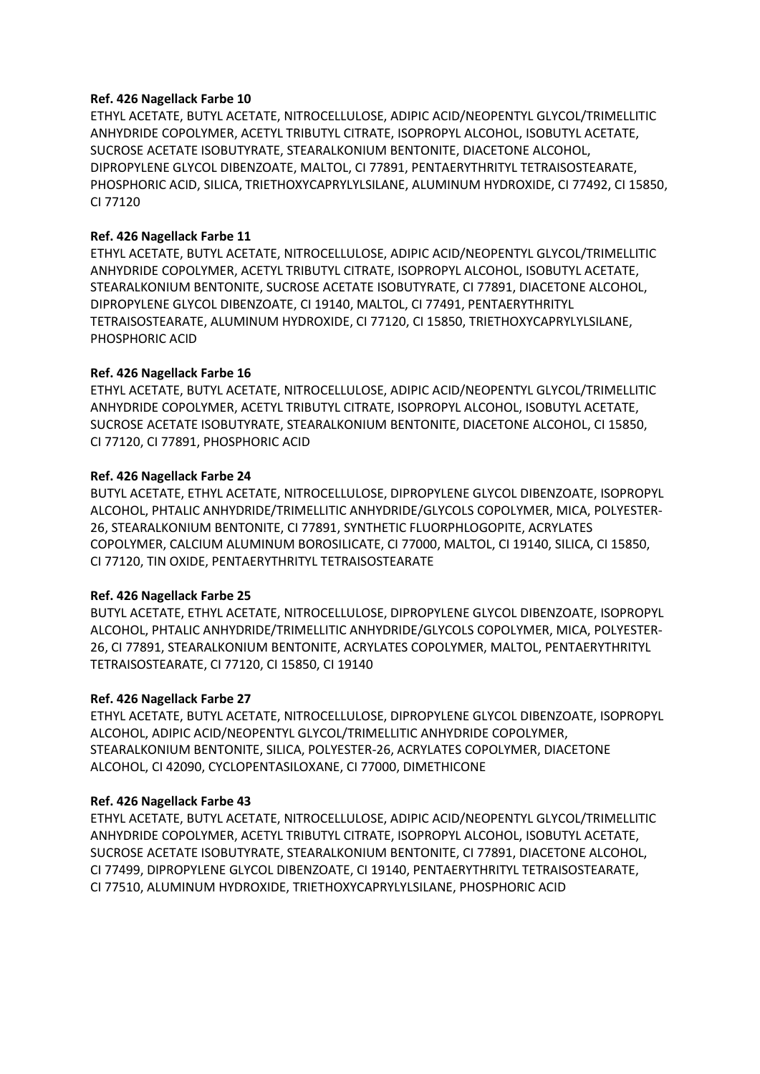#### **Ref. 426 Nagellack Farbe 10**

ETHYL ACETATE, BUTYL ACETATE, NITROCELLULOSE, ADIPIC ACID/NEOPENTYL GLYCOL/TRIMELLITIC ANHYDRIDE COPOLYMER, ACETYL TRIBUTYL CITRATE, ISOPROPYL ALCOHOL, ISOBUTYL ACETATE, SUCROSE ACETATE ISOBUTYRATE, STEARALKONIUM BENTONITE, DIACETONE ALCOHOL, DIPROPYLENE GLYCOL DIBENZOATE, MALTOL, CI 77891, PENTAERYTHRITYL TETRAISOSTEARATE, PHOSPHORIC ACID, SILICA, TRIETHOXYCAPRYLYLSILANE, ALUMINUM HYDROXIDE, CI 77492, CI 15850, CI 77120

# **Ref. 426 Nagellack Farbe 11**

ETHYL ACETATE, BUTYL ACETATE, NITROCELLULOSE, ADIPIC ACID/NEOPENTYL GLYCOL/TRIMELLITIC ANHYDRIDE COPOLYMER, ACETYL TRIBUTYL CITRATE, ISOPROPYL ALCOHOL, ISOBUTYL ACETATE, STEARALKONIUM BENTONITE, SUCROSE ACETATE ISOBUTYRATE, CI 77891, DIACETONE ALCOHOL, DIPROPYLENE GLYCOL DIBENZOATE, CI 19140, MALTOL, CI 77491, PENTAERYTHRITYL TETRAISOSTEARATE, ALUMINUM HYDROXIDE, CI 77120, CI 15850, TRIETHOXYCAPRYLYLSILANE, PHOSPHORIC ACID

# **Ref. 426 Nagellack Farbe 16**

ETHYL ACETATE, BUTYL ACETATE, NITROCELLULOSE, ADIPIC ACID/NEOPENTYL GLYCOL/TRIMELLITIC ANHYDRIDE COPOLYMER, ACETYL TRIBUTYL CITRATE, ISOPROPYL ALCOHOL, ISOBUTYL ACETATE, SUCROSE ACETATE ISOBUTYRATE, STEARALKONIUM BENTONITE, DIACETONE ALCOHOL, CI 15850, CI 77120, CI 77891, PHOSPHORIC ACID

# **Ref. 426 Nagellack Farbe 24**

BUTYL ACETATE, ETHYL ACETATE, NITROCELLULOSE, DIPROPYLENE GLYCOL DIBENZOATE, ISOPROPYL ALCOHOL, PHTALIC ANHYDRIDE/TRIMELLITIC ANHYDRIDE/GLYCOLS COPOLYMER, MICA, POLYESTER-26, STEARALKONIUM BENTONITE, CI 77891, SYNTHETIC FLUORPHLOGOPITE, ACRYLATES COPOLYMER, CALCIUM ALUMINUM BOROSILICATE, CI 77000, MALTOL, CI 19140, SILICA, CI 15850, CI 77120, TIN OXIDE, PENTAERYTHRITYL TETRAISOSTEARATE

#### **Ref. 426 Nagellack Farbe 25**

BUTYL ACETATE, ETHYL ACETATE, NITROCELLULOSE, DIPROPYLENE GLYCOL DIBENZOATE, ISOPROPYL ALCOHOL, PHTALIC ANHYDRIDE/TRIMELLITIC ANHYDRIDE/GLYCOLS COPOLYMER, MICA, POLYESTER-26, CI 77891, STEARALKONIUM BENTONITE, ACRYLATES COPOLYMER, MALTOL, PENTAERYTHRITYL TETRAISOSTEARATE, CI 77120, CI 15850, CI 19140

#### **Ref. 426 Nagellack Farbe 27**

ETHYL ACETATE, BUTYL ACETATE, NITROCELLULOSE, DIPROPYLENE GLYCOL DIBENZOATE, ISOPROPYL ALCOHOL, ADIPIC ACID/NEOPENTYL GLYCOL/TRIMELLITIC ANHYDRIDE COPOLYMER, STEARALKONIUM BENTONITE, SILICA, POLYESTER-26, ACRYLATES COPOLYMER, DIACETONE ALCOHOL, CI 42090, CYCLOPENTASILOXANE, CI 77000, DIMETHICONE

#### **Ref. 426 Nagellack Farbe 43**

ETHYL ACETATE, BUTYL ACETATE, NITROCELLULOSE, ADIPIC ACID/NEOPENTYL GLYCOL/TRIMELLITIC ANHYDRIDE COPOLYMER, ACETYL TRIBUTYL CITRATE, ISOPROPYL ALCOHOL, ISOBUTYL ACETATE, SUCROSE ACETATE ISOBUTYRATE, STEARALKONIUM BENTONITE, CI 77891, DIACETONE ALCOHOL, CI 77499, DIPROPYLENE GLYCOL DIBENZOATE, CI 19140, PENTAERYTHRITYL TETRAISOSTEARATE, CI 77510, ALUMINUM HYDROXIDE, TRIETHOXYCAPRYLYLSILANE, PHOSPHORIC ACID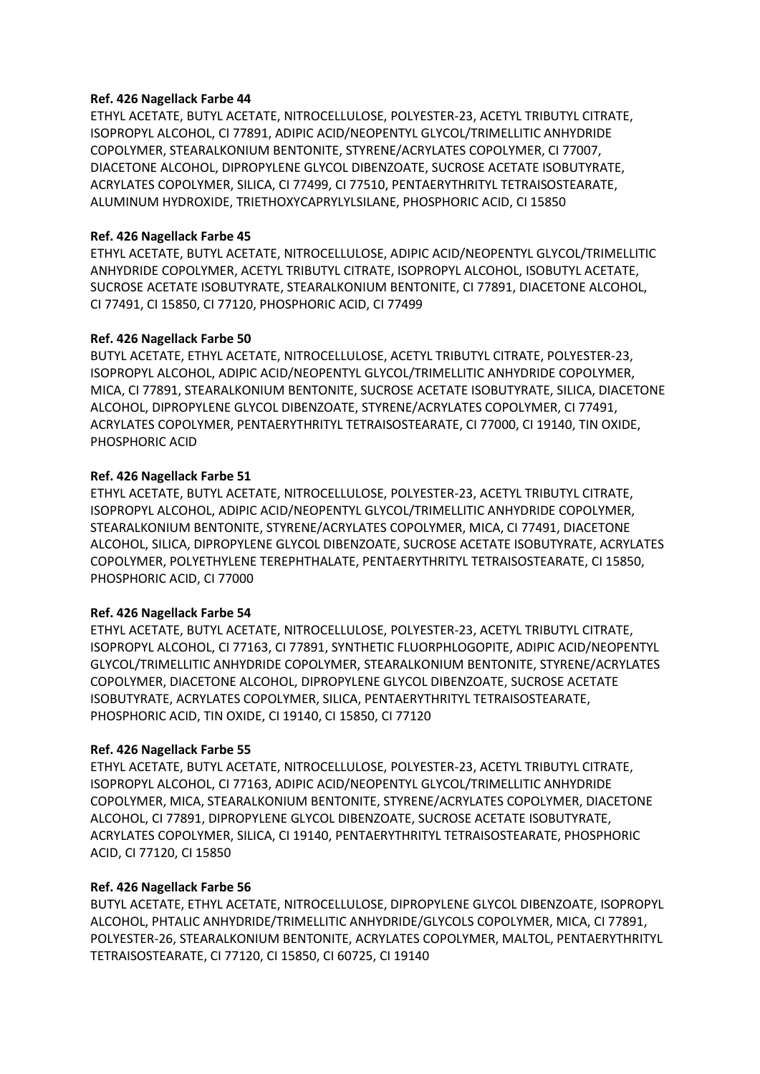#### **Ref. 426 Nagellack Farbe 44**

ETHYL ACETATE, BUTYL ACETATE, NITROCELLULOSE, POLYESTER-23, ACETYL TRIBUTYL CITRATE, ISOPROPYL ALCOHOL, CI 77891, ADIPIC ACID/NEOPENTYL GLYCOL/TRIMELLITIC ANHYDRIDE COPOLYMER, STEARALKONIUM BENTONITE, STYRENE/ACRYLATES COPOLYMER, CI 77007, DIACETONE ALCOHOL, DIPROPYLENE GLYCOL DIBENZOATE, SUCROSE ACETATE ISOBUTYRATE, ACRYLATES COPOLYMER, SILICA, CI 77499, CI 77510, PENTAERYTHRITYL TETRAISOSTEARATE, ALUMINUM HYDROXIDE, TRIETHOXYCAPRYLYLSILANE, PHOSPHORIC ACID, CI 15850

# **Ref. 426 Nagellack Farbe 45**

ETHYL ACETATE, BUTYL ACETATE, NITROCELLULOSE, ADIPIC ACID/NEOPENTYL GLYCOL/TRIMELLITIC ANHYDRIDE COPOLYMER, ACETYL TRIBUTYL CITRATE, ISOPROPYL ALCOHOL, ISOBUTYL ACETATE, SUCROSE ACETATE ISOBUTYRATE, STEARALKONIUM BENTONITE, CI 77891, DIACETONE ALCOHOL, CI 77491, CI 15850, CI 77120, PHOSPHORIC ACID, CI 77499

# **Ref. 426 Nagellack Farbe 50**

BUTYL ACETATE, ETHYL ACETATE, NITROCELLULOSE, ACETYL TRIBUTYL CITRATE, POLYESTER-23, ISOPROPYL ALCOHOL, ADIPIC ACID/NEOPENTYL GLYCOL/TRIMELLITIC ANHYDRIDE COPOLYMER, MICA, CI 77891, STEARALKONIUM BENTONITE, SUCROSE ACETATE ISOBUTYRATE, SILICA, DIACETONE ALCOHOL, DIPROPYLENE GLYCOL DIBENZOATE, STYRENE/ACRYLATES COPOLYMER, CI 77491, ACRYLATES COPOLYMER, PENTAERYTHRITYL TETRAISOSTEARATE, CI 77000, CI 19140, TIN OXIDE, PHOSPHORIC ACID

# **Ref. 426 Nagellack Farbe 51**

ETHYL ACETATE, BUTYL ACETATE, NITROCELLULOSE, POLYESTER-23, ACETYL TRIBUTYL CITRATE, ISOPROPYL ALCOHOL, ADIPIC ACID/NEOPENTYL GLYCOL/TRIMELLITIC ANHYDRIDE COPOLYMER, STEARALKONIUM BENTONITE, STYRENE/ACRYLATES COPOLYMER, MICA, CI 77491, DIACETONE ALCOHOL, SILICA, DIPROPYLENE GLYCOL DIBENZOATE, SUCROSE ACETATE ISOBUTYRATE, ACRYLATES COPOLYMER, POLYETHYLENE TEREPHTHALATE, PENTAERYTHRITYL TETRAISOSTEARATE, CI 15850, PHOSPHORIC ACID, CI 77000

# **Ref. 426 Nagellack Farbe 54**

ETHYL ACETATE, BUTYL ACETATE, NITROCELLULOSE, POLYESTER-23, ACETYL TRIBUTYL CITRATE, ISOPROPYL ALCOHOL, CI 77163, CI 77891, SYNTHETIC FLUORPHLOGOPITE, ADIPIC ACID/NEOPENTYL GLYCOL/TRIMELLITIC ANHYDRIDE COPOLYMER, STEARALKONIUM BENTONITE, STYRENE/ACRYLATES COPOLYMER, DIACETONE ALCOHOL, DIPROPYLENE GLYCOL DIBENZOATE, SUCROSE ACETATE ISOBUTYRATE, ACRYLATES COPOLYMER, SILICA, PENTAERYTHRITYL TETRAISOSTEARATE, PHOSPHORIC ACID, TIN OXIDE, CI 19140, CI 15850, CI 77120

#### **Ref. 426 Nagellack Farbe 55**

ETHYL ACETATE, BUTYL ACETATE, NITROCELLULOSE, POLYESTER-23, ACETYL TRIBUTYL CITRATE, ISOPROPYL ALCOHOL, CI 77163, ADIPIC ACID/NEOPENTYL GLYCOL/TRIMELLITIC ANHYDRIDE COPOLYMER, MICA, STEARALKONIUM BENTONITE, STYRENE/ACRYLATES COPOLYMER, DIACETONE ALCOHOL, CI 77891, DIPROPYLENE GLYCOL DIBENZOATE, SUCROSE ACETATE ISOBUTYRATE, ACRYLATES COPOLYMER, SILICA, CI 19140, PENTAERYTHRITYL TETRAISOSTEARATE, PHOSPHORIC ACID, CI 77120, CI 15850

# **Ref. 426 Nagellack Farbe 56**

BUTYL ACETATE, ETHYL ACETATE, NITROCELLULOSE, DIPROPYLENE GLYCOL DIBENZOATE, ISOPROPYL ALCOHOL, PHTALIC ANHYDRIDE/TRIMELLITIC ANHYDRIDE/GLYCOLS COPOLYMER, MICA, CI 77891, POLYESTER-26, STEARALKONIUM BENTONITE, ACRYLATES COPOLYMER, MALTOL, PENTAERYTHRITYL TETRAISOSTEARATE, CI 77120, CI 15850, CI 60725, CI 19140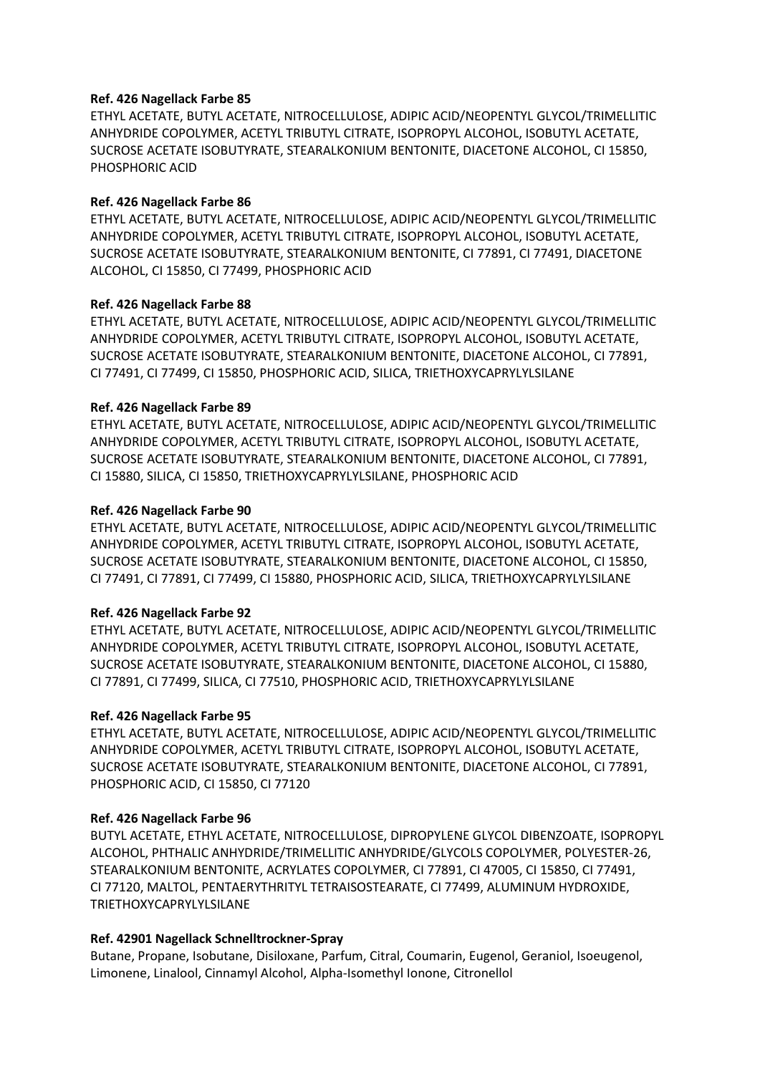#### **Ref. 426 Nagellack Farbe 85**

ETHYL ACETATE, BUTYL ACETATE, NITROCELLULOSE, ADIPIC ACID/NEOPENTYL GLYCOL/TRIMELLITIC ANHYDRIDE COPOLYMER, ACETYL TRIBUTYL CITRATE, ISOPROPYL ALCOHOL, ISOBUTYL ACETATE, SUCROSE ACETATE ISOBUTYRATE, STEARALKONIUM BENTONITE, DIACETONE ALCOHOL, CI 15850, PHOSPHORIC ACID

#### **Ref. 426 Nagellack Farbe 86**

ETHYL ACETATE, BUTYL ACETATE, NITROCELLULOSE, ADIPIC ACID/NEOPENTYL GLYCOL/TRIMELLITIC ANHYDRIDE COPOLYMER, ACETYL TRIBUTYL CITRATE, ISOPROPYL ALCOHOL, ISOBUTYL ACETATE, SUCROSE ACETATE ISOBUTYRATE, STEARALKONIUM BENTONITE, CI 77891, CI 77491, DIACETONE ALCOHOL, CI 15850, CI 77499, PHOSPHORIC ACID

# **Ref. 426 Nagellack Farbe 88**

ETHYL ACETATE, BUTYL ACETATE, NITROCELLULOSE, ADIPIC ACID/NEOPENTYL GLYCOL/TRIMELLITIC ANHYDRIDE COPOLYMER, ACETYL TRIBUTYL CITRATE, ISOPROPYL ALCOHOL, ISOBUTYL ACETATE, SUCROSE ACETATE ISOBUTYRATE, STEARALKONIUM BENTONITE, DIACETONE ALCOHOL, CI 77891, CI 77491, CI 77499, CI 15850, PHOSPHORIC ACID, SILICA, TRIETHOXYCAPRYLYLSILANE

# **Ref. 426 Nagellack Farbe 89**

ETHYL ACETATE, BUTYL ACETATE, NITROCELLULOSE, ADIPIC ACID/NEOPENTYL GLYCOL/TRIMELLITIC ANHYDRIDE COPOLYMER, ACETYL TRIBUTYL CITRATE, ISOPROPYL ALCOHOL, ISOBUTYL ACETATE, SUCROSE ACETATE ISOBUTYRATE, STEARALKONIUM BENTONITE, DIACETONE ALCOHOL, CI 77891, CI 15880, SILICA, CI 15850, TRIETHOXYCAPRYLYLSILANE, PHOSPHORIC ACID

# **Ref. 426 Nagellack Farbe 90**

ETHYL ACETATE, BUTYL ACETATE, NITROCELLULOSE, ADIPIC ACID/NEOPENTYL GLYCOL/TRIMELLITIC ANHYDRIDE COPOLYMER, ACETYL TRIBUTYL CITRATE, ISOPROPYL ALCOHOL, ISOBUTYL ACETATE, SUCROSE ACETATE ISOBUTYRATE, STEARALKONIUM BENTONITE, DIACETONE ALCOHOL, CI 15850, CI 77491, CI 77891, CI 77499, CI 15880, PHOSPHORIC ACID, SILICA, TRIETHOXYCAPRYLYLSILANE

#### **Ref. 426 Nagellack Farbe 92**

ETHYL ACETATE, BUTYL ACETATE, NITROCELLULOSE, ADIPIC ACID/NEOPENTYL GLYCOL/TRIMELLITIC ANHYDRIDE COPOLYMER, ACETYL TRIBUTYL CITRATE, ISOPROPYL ALCOHOL, ISOBUTYL ACETATE, SUCROSE ACETATE ISOBUTYRATE, STEARALKONIUM BENTONITE, DIACETONE ALCOHOL, CI 15880, CI 77891, CI 77499, SILICA, CI 77510, PHOSPHORIC ACID, TRIETHOXYCAPRYLYLSILANE

#### **Ref. 426 Nagellack Farbe 95**

ETHYL ACETATE, BUTYL ACETATE, NITROCELLULOSE, ADIPIC ACID/NEOPENTYL GLYCOL/TRIMELLITIC ANHYDRIDE COPOLYMER, ACETYL TRIBUTYL CITRATE, ISOPROPYL ALCOHOL, ISOBUTYL ACETATE, SUCROSE ACETATE ISOBUTYRATE, STEARALKONIUM BENTONITE, DIACETONE ALCOHOL, CI 77891, PHOSPHORIC ACID, CI 15850, CI 77120

#### **Ref. 426 Nagellack Farbe 96**

BUTYL ACETATE, ETHYL ACETATE, NITROCELLULOSE, DIPROPYLENE GLYCOL DIBENZOATE, ISOPROPYL ALCOHOL, PHTHALIC ANHYDRIDE/TRIMELLITIC ANHYDRIDE/GLYCOLS COPOLYMER, POLYESTER-26, STEARALKONIUM BENTONITE, ACRYLATES COPOLYMER, CI 77891, CI 47005, CI 15850, CI 77491, CI 77120, MALTOL, PENTAERYTHRITYL TETRAISOSTEARATE, CI 77499, ALUMINUM HYDROXIDE, TRIETHOXYCAPRYLYLSILANE

#### **Ref. 42901 Nagellack Schnelltrockner-Spray**

Butane, Propane, Isobutane, Disiloxane, Parfum, Citral, Coumarin, Eugenol, Geraniol, Isoeugenol, Limonene, Linalool, Cinnamyl Alcohol, Alpha-Isomethyl Ionone, Citronellol